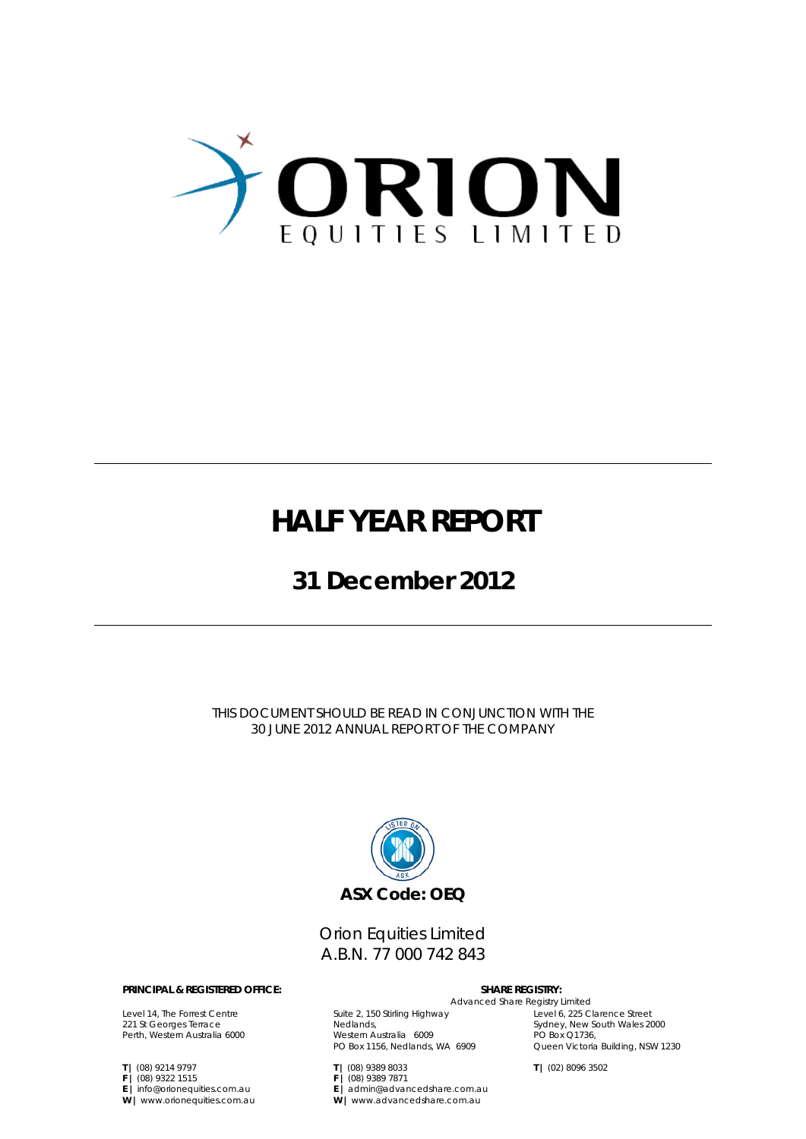

### **HALF YEAR REPORT**

### **31 December 2012**

THIS DOCUMENT SHOULD BE READ IN CONJUNCTION WITH THE 30 JUNE 2012 ANNUAL REPORT OF THE COMPANY



Orion Equities Limited A.B.N. 77 000 742 843

#### **PRINCIPAL & REGISTERED OFFICE:** SHARE REGISTRY:

Level 14, The Forrest Centre 221 St Georges Terrace Perth, Western Australia 6000

**T |** (08) 9214 9797 **F |** (08) 9322 1515 **E |** info@orionequities.com.au **W |** www.orionequities.com.au Advanced Share Registry Limited

Suite 2, 150 Stirling Highway Nedlands, Western Australia 6009 PO Box 1156, Nedlands, WA 6909

**E |** admin@advancedshare.com.au **W |** www.advancedshare.com.au

**T |** (08) 9389 8033 **F |** (08) 9389 7871

Level 6, 225 Clarence Street Sydney, New South Wales 2000 PO Box Q1736, Queen Victoria Building, NSW 1230

**T |** (02) 8096 3502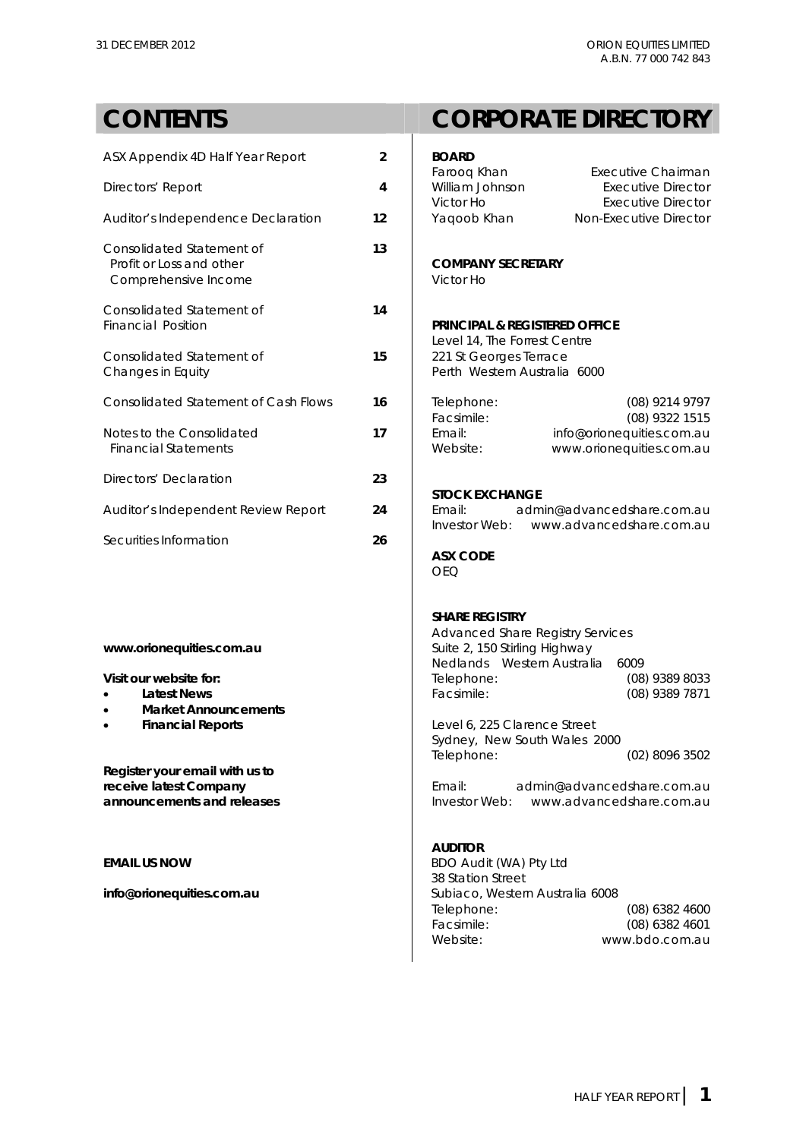### **CONTENTS CORPORATE DIRECTORY**ASX Appendix 4D Half Year Report **2 B Farooq Khan** Executive Chairman Directors' Report **4** V

| Auditor's Independence Declaration                                            | 12 | Victor Ho<br>Executive Director<br>Yaqoob Khan<br>Non-Executive Director                          |
|-------------------------------------------------------------------------------|----|---------------------------------------------------------------------------------------------------|
| Consolidated Statement of<br>Profit or Loss and other<br>Comprehensive Income | 13 | <b>COMPANY SECRETARY</b><br>Victor Ho                                                             |
| Consolidated Statement of<br><b>Financial Position</b>                        | 14 | <b>PRINCIPAL &amp; REGISTERED OFFICE</b>                                                          |
| Consolidated Statement of<br>Changes in Equity                                | 15 | Level 14, The Forrest Centre<br>221 St Georges Terrace<br>Perth Western Australia 6000            |
| <b>Consolidated Statement of Cash Flows</b>                                   | 16 | (08) 9214 9797<br>Telephone:<br>Facsimile:<br>(08) 9322 1515                                      |
| Notes to the Consolidated<br><b>Financial Statements</b>                      | 17 | Email:<br>info@orionequities.com.au<br>www.orionequities.com.au<br>Website:                       |
| Directors' Declaration                                                        | 23 | <b>STOCK EXCHANGE</b>                                                                             |
| Auditor's Independent Review Report                                           | 24 | admin@advancedshare.com.au<br>Email:<br>Investor Web: www.advancedshare.com.au                    |
| Securities Information                                                        | 26 | <b>ASX CODE</b><br><b>OEQ</b>                                                                     |
| www.orionequities.com.au                                                      |    | <b>SHARE REGISTRY</b><br><b>Advanced Share Registry Services</b><br>Suite 2, 150 Stirling Highway |
| Visit our website for:                                                        |    | Nedlands Western Australia<br>6009<br>Telephone:<br>(08) 9389 8033                                |
| <b>Latest News</b>                                                            |    | Facsimile:<br>(08) 9389 7871                                                                      |

- **Market Announcements**
- 

**Register your email with us to** 

**Financial Reports Level 6, 225 Clarence Street**  Sydney, New South Wales 2000 Telephone: (02) 8096 3502

**receive latest Company <b>Email:** Email: admin@advancedshare.com.au **announcements and releases Investor Web:** www.advancedshare.com.au

### **AUDITOR**

**EMAIL US NOW CONSUMING THE RESIDENCE OF AUDIT OF STATE OF STATE OF STATE OF STATE OF STATE OF STATE OF STATE OF STATE OF STATE OF STATE OF STATE OF STATE OF STATE OF STATE OF STATE OF STATE OF STATE OF STATE OF STATE OF S**  38 Station Street **info@orionequities.com.au 1988** and 1990 subiaco, Western Australia 6008 Telephone: (08) 6382 4600 Facsimile: (08) 6382 4601<br>Website: www.bdo.com.au www.bdo.com.au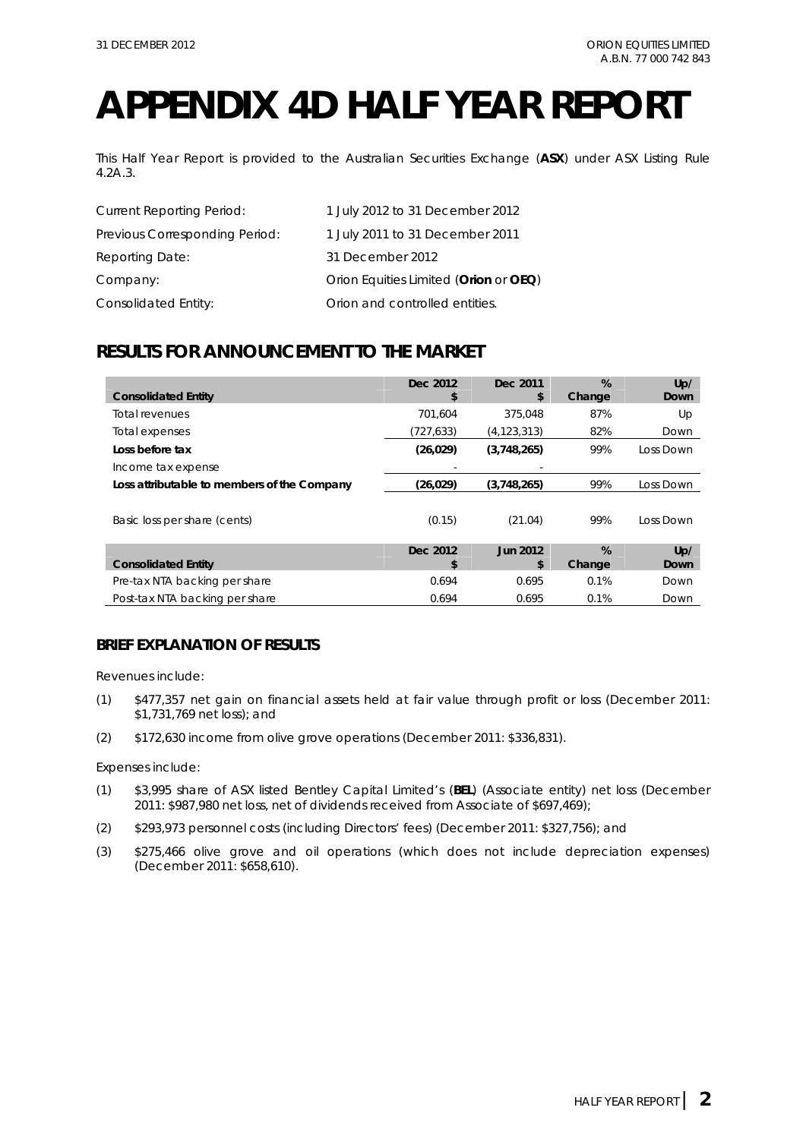## **APPENDIX 4D HALF YEAR REPORT**

This Half Year Report is provided to the Australian Securities Exchange (**ASX**) under ASX Listing Rule 4.2A.3.

| <b>Current Reporting Period:</b> | 1 July 2012 to 31 December 2012       |
|----------------------------------|---------------------------------------|
| Previous Corresponding Period:   | 1 July 2011 to 31 December 2011       |
| Reporting Date:                  | 31 December 2012                      |
| Company:                         | Orion Equities Limited (Orion or OEQ) |
| Consolidated Entity:             | Orion and controlled entities.        |

### **RESULTS FOR ANNOUNCEMENT TO THE MARKET**

| <b>Consolidated Entity</b>                  | Dec 2012<br>\$ | Dec 2011<br>\$ | %<br>Change | Up/<br>Down |
|---------------------------------------------|----------------|----------------|-------------|-------------|
| Total revenues                              | 701.604        | 375.048        | 87%         | Up          |
| Total expenses                              | (727, 633)     | (4,123,313)    | 82%         | Down        |
| Loss before tax                             | (26, 029)      | (3,748,265)    | 99%         | Loss Down   |
| Income tax expense                          |                |                |             |             |
| Loss attributable to members of the Company | (26, 029)      | (3,748,265)    | 99%         | Loss Down   |
| Basic loss per share (cents)                | (0.15)         | (21.04)        | 99%         | Loss Down   |
|                                             | Dec 2012       | Jun 2012       | %           | Up/         |
| <b>Consolidated Entity</b>                  | \$             | \$             | Change      | Down        |
| Pre-tax NTA backing per share               | 0.694          | 0.695          | 0.1%        | Down        |
| Post-tax NTA backing per share              | 0.694          | 0.695          | 0.1%        | Down        |

### **BRIEF EXPLANATION OF RESULTS**

Revenues include:

- (1) \$477,357 net gain on financial assets held at fair value through profit or loss (December 2011: \$1,731,769 net loss); and
- (2) \$172,630 income from olive grove operations (December 2011: \$336,831).

Expenses include:

- (1) \$3,995 share of ASX listed Bentley Capital Limited's (**BEL**) (Associate entity) net loss (December 2011: \$987,980 net loss, net of dividends received from Associate of \$697,469);
- (2) \$293,973 personnel costs (including Directors' fees) (December 2011: \$327,756); and
- (3) \$275,466 olive grove and oil operations (which does not include depreciation expenses) (December 2011: \$658,610).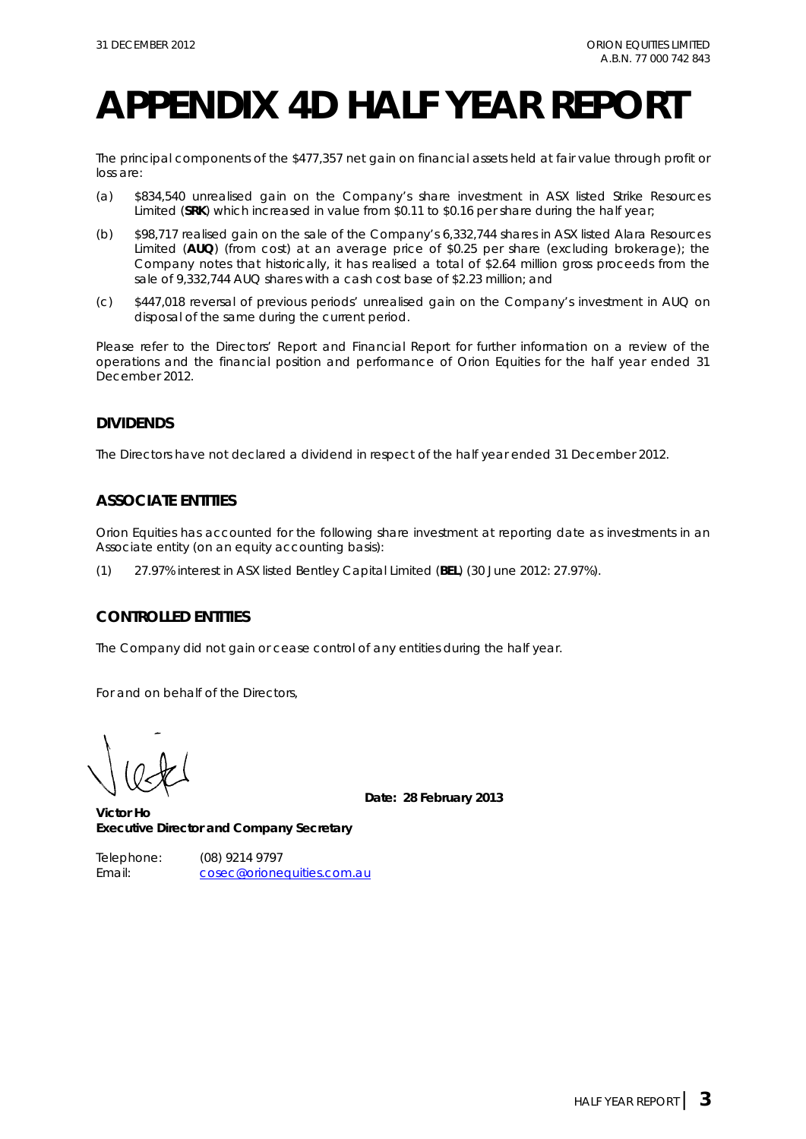## **APPENDIX 4D HALF YEAR REPORT**

The principal components of the \$477,357 net gain on financial assets held at fair value through profit or loss are:

- (a) \$834,540 unrealised gain on the Company's share investment in ASX listed Strike Resources Limited (**SRK**) which increased in value from \$0.11 to \$0.16 per share during the half year;
- (b) \$98,717 realised gain on the sale of the Company's 6,332,744 shares in ASX listed Alara Resources Limited (**AUQ**) (from cost) at an average price of \$0.25 per share (excluding brokerage); the Company notes that historically, it has realised a total of \$2.64 million gross proceeds from the sale of 9,332,744 AUQ shares with a cash cost base of \$2.23 million; and
- (c) \$447,018 reversal of previous periods' unrealised gain on the Company's investment in AUQ on disposal of the same during the current period.

Please refer to the Directors' Report and Financial Report for further information on a review of the operations and the financial position and performance of Orion Equities for the half year ended 31 December 2012.

### **DIVIDENDS**

The Directors have not declared a dividend in respect of the half year ended 31 December 2012.

### **ASSOCIATE ENTITIES**

Orion Equities has accounted for the following share investment at reporting date as investments in an Associate entity (on an equity accounting basis):

(1) 27.97% interest in ASX listed Bentley Capital Limited (**BEL**) (30 June 2012: 27.97%).

### **CONTROLLED ENTITIES**

The Company did not gain or cease control of any entities during the half year.

For and on behalf of the Directors,

**Date: 28 February 2013** 

**Victor Ho Executive Director and Company Secretary** 

Telephone: (08) 9214 9797 Email: cosec@orionequities.com.au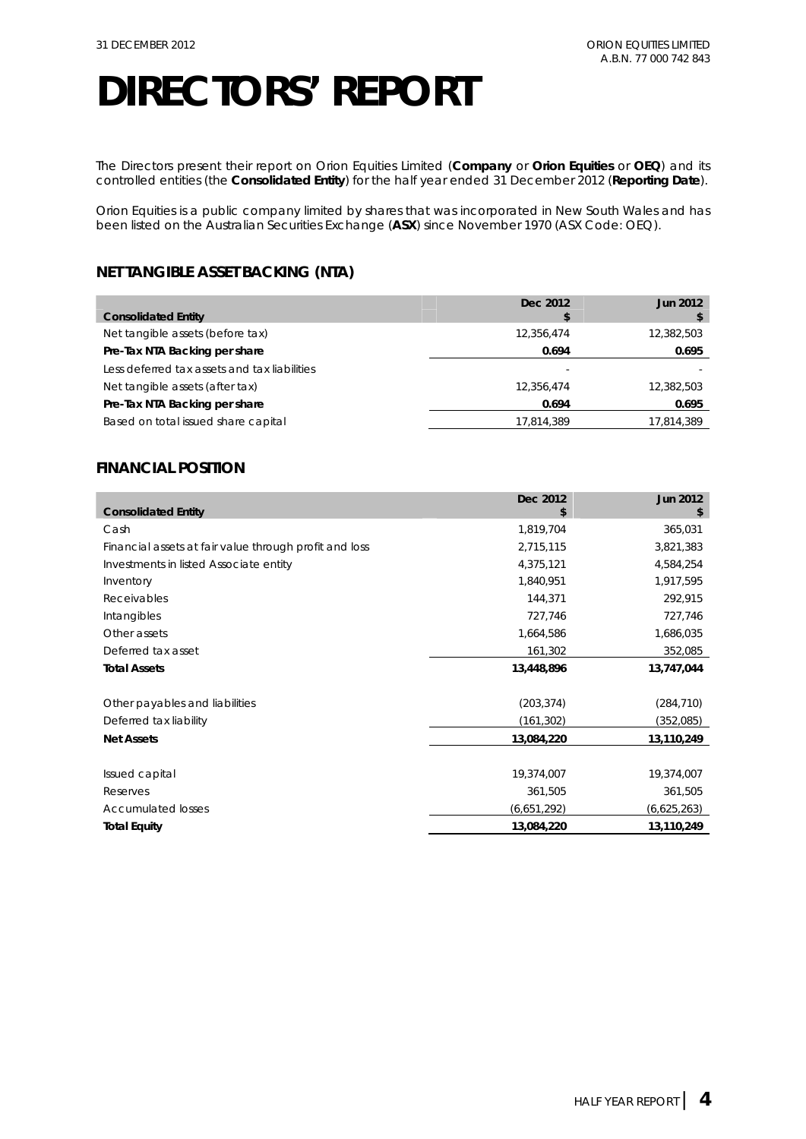The Directors present their report on Orion Equities Limited (**Company** or **Orion Equities** or **OEQ**) and its controlled entities (the **Consolidated Entity**) for the half year ended 31 December 2012 (**Reporting Date**).

Orion Equities is a public company limited by shares that was incorporated in New South Wales and has been listed on the Australian Securities Exchange (**ASX**) since November 1970 (ASX Code: OEQ).

### **NET TANGIBLE ASSET BACKING (NTA)**

|                                              | Dec 2012   | <b>Jun 2012</b> |
|----------------------------------------------|------------|-----------------|
| <b>Consolidated Entity</b>                   |            |                 |
| Net tangible assets (before tax)             | 12,356,474 | 12,382,503      |
| Pre-Tax NTA Backing per share                | 0.694      | 0.695           |
| Less deferred tax assets and tax liabilities |            |                 |
| Net tangible assets (after tax)              | 12,356,474 | 12,382,503      |
| Pre-Tax NTA Backing per share                | 0.694      | 0.695           |
| Based on total issued share capital          | 17,814,389 | 17,814,389      |
|                                              |            |                 |

### **FINANCIAL POSITION**

|                                                        | Dec 2012    | <b>Jun 2012</b> |
|--------------------------------------------------------|-------------|-----------------|
| <b>Consolidated Entity</b>                             | \$          | \$              |
| Cash                                                   | 1,819,704   | 365,031         |
| Financial assets at fair value through profit and loss | 2,715,115   | 3,821,383       |
| Investments in listed Associate entity                 | 4,375,121   | 4,584,254       |
| Inventory                                              | 1,840,951   | 1,917,595       |
| Receivables                                            | 144,371     | 292,915         |
| Intangibles                                            | 727,746     | 727,746         |
| Other assets                                           | 1,664,586   | 1,686,035       |
| Deferred tax asset                                     | 161,302     | 352,085         |
| <b>Total Assets</b>                                    | 13,448,896  | 13,747,044      |
| Other payables and liabilities                         | (203, 374)  | (284, 710)      |
| Deferred tax liability                                 | (161, 302)  | (352,085)       |
| <b>Net Assets</b>                                      | 13,084,220  | 13,110,249      |
| Issued capital                                         | 19,374,007  | 19,374,007      |
| Reserves                                               | 361,505     | 361,505         |
| <b>Accumulated losses</b>                              | (6,651,292) | (6,625,263)     |
| <b>Total Equity</b>                                    | 13,084,220  | 13,110,249      |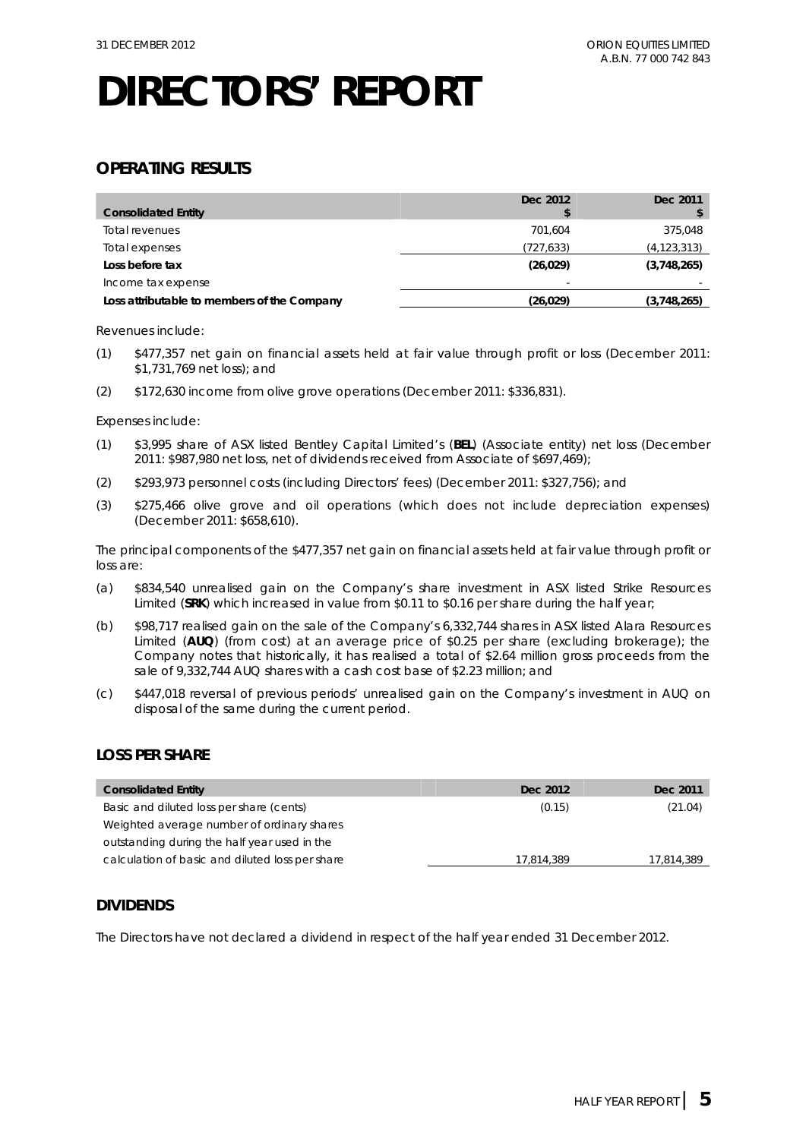### **OPERATING RESULTS**

| <b>Consolidated Entity</b>                  | Dec 2012                 | Dec 2011      |
|---------------------------------------------|--------------------------|---------------|
| Total revenues                              | 701.604                  | 375,048       |
| Total expenses                              | (727, 633)               | (4, 123, 313) |
| Loss before tax                             | (26, 029)                | (3,748,265)   |
| Income tax expense                          | $\overline{\phantom{a}}$ |               |
| Loss attributable to members of the Company | (26, 029)                | (3,748,265)   |

Revenues include:

- (1) \$477,357 net gain on financial assets held at fair value through profit or loss (December 2011: \$1,731,769 net loss); and
- (2) \$172,630 income from olive grove operations (December 2011: \$336,831).

Expenses include:

- (1) \$3,995 share of ASX listed Bentley Capital Limited's (**BEL**) (Associate entity) net loss (December 2011: \$987,980 net loss, net of dividends received from Associate of \$697,469);
- (2) \$293,973 personnel costs (including Directors' fees) (December 2011: \$327,756); and
- (3) \$275,466 olive grove and oil operations (which does not include depreciation expenses) (December 2011: \$658,610).

The principal components of the \$477,357 net gain on financial assets held at fair value through profit or loss are:

- (a) \$834,540 unrealised gain on the Company's share investment in ASX listed Strike Resources Limited (**SRK**) which increased in value from \$0.11 to \$0.16 per share during the half year;
- (b) \$98,717 realised gain on the sale of the Company's 6,332,744 shares in ASX listed Alara Resources Limited (**AUQ**) (from cost) at an average price of \$0.25 per share (excluding brokerage); the Company notes that historically, it has realised a total of \$2.64 million gross proceeds from the sale of 9,332,744 AUQ shares with a cash cost base of \$2.23 million; and
- (c) \$447,018 reversal of previous periods' unrealised gain on the Company's investment in AUQ on disposal of the same during the current period.

### **LOSS PER SHARE**

| <b>Consolidated Entity</b>                      | Dec 2012   | Dec 2011   |
|-------------------------------------------------|------------|------------|
| Basic and diluted loss per share (cents)        | (0.15)     | (21.04)    |
| Weighted average number of ordinary shares      |            |            |
| outstanding during the half year used in the    |            |            |
| calculation of basic and diluted loss per share | 17.814.389 | 17,814,389 |

### **DIVIDENDS**

The Directors have not declared a dividend in respect of the half year ended 31 December 2012.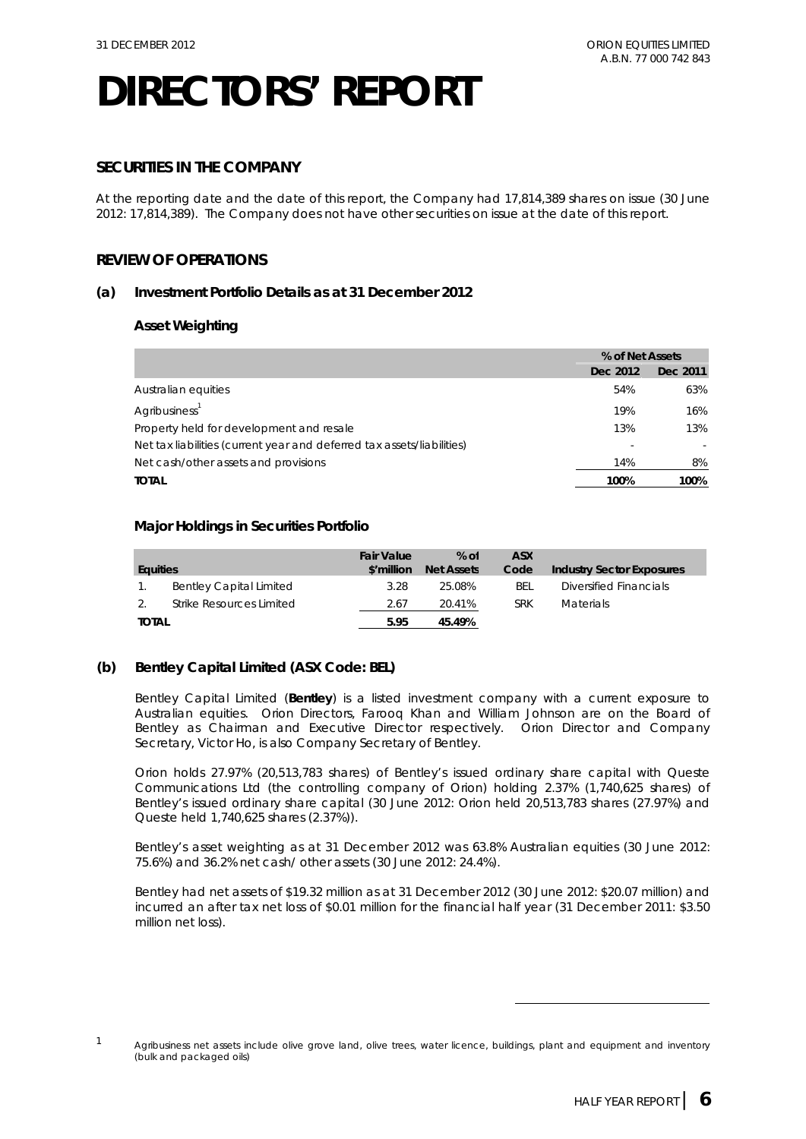### **SECURITIES IN THE COMPANY**

At the reporting date and the date of this report, the Company had 17,814,389 shares on issue (30 June 2012: 17,814,389). The Company does not have other securities on issue at the date of this report.

### **REVIEW OF OPERATIONS**

### **(a) Investment Portfolio Details as at 31 December 2012**

### **Asset Weighting**

|                                                                        | % of Net Assets |          |
|------------------------------------------------------------------------|-----------------|----------|
|                                                                        | Dec 2012        | Dec 2011 |
| Australian equities                                                    | 54%             | 63%      |
| Agribusiness <sup>1</sup>                                              | 19%             | 16%      |
| Property held for development and resale                               | 13%             | 13%      |
| Net tax liabilities (current year and deferred tax assets/liabilities) |                 |          |
| Net cash/other assets and provisions                                   | 14%             | 8%       |
| <b>TOTAL</b>                                                           | 100%            | 100%     |

### **Major Holdings in Securities Portfolio**

| Equities     |                                | <b>Fair Value</b><br>\$'million | $%$ of<br><b>Net Assets</b> | ASX<br>Code | <b>Industry Sector Exposures</b> |
|--------------|--------------------------------|---------------------------------|-----------------------------|-------------|----------------------------------|
|              | <b>Bentley Capital Limited</b> | 3.28                            | 25.08%                      | BEL         | Diversified Financials           |
|              | Strike Resources Limited       | 2.67                            | 20.41%                      | <b>SRK</b>  | <b>Materials</b>                 |
| <b>TOTAL</b> |                                | 5.95                            | 45.49%                      |             |                                  |

### **(b) Bentley Capital Limited (ASX Code: BEL)**

Bentley Capital Limited (**Bentley**) is a listed investment company with a current exposure to Australian equities. Orion Directors, Farooq Khan and William Johnson are on the Board of Bentley as Chairman and Executive Director respectively. Orion Director and Company Secretary, Victor Ho, is also Company Secretary of Bentley.

Orion holds 27.97% (20,513,783 shares) of Bentley's issued ordinary share capital with Queste Communications Ltd (the controlling company of Orion) holding 2.37% (1,740,625 shares) of Bentley's issued ordinary share capital (30 June 2012: Orion held 20,513,783 shares (27.97%) and Queste held 1,740,625 shares (2.37%)).

Bentley's asset weighting as at 31 December 2012 was 63.8% Australian equities (30 June 2012: 75.6%) and 36.2% net cash/ other assets (30 June 2012: 24.4%).

Bentley had net assets of \$19.32 million as at 31 December 2012 (30 June 2012: \$20.07 million) and incurred an after tax net loss of \$0.01 million for the financial half year (31 December 2011: \$3.50 million net loss).

-

 $1$  Agribusiness net assets include olive grove land, olive trees, water licence, buildings, plant and equipment and inventory (bulk and packaged oils)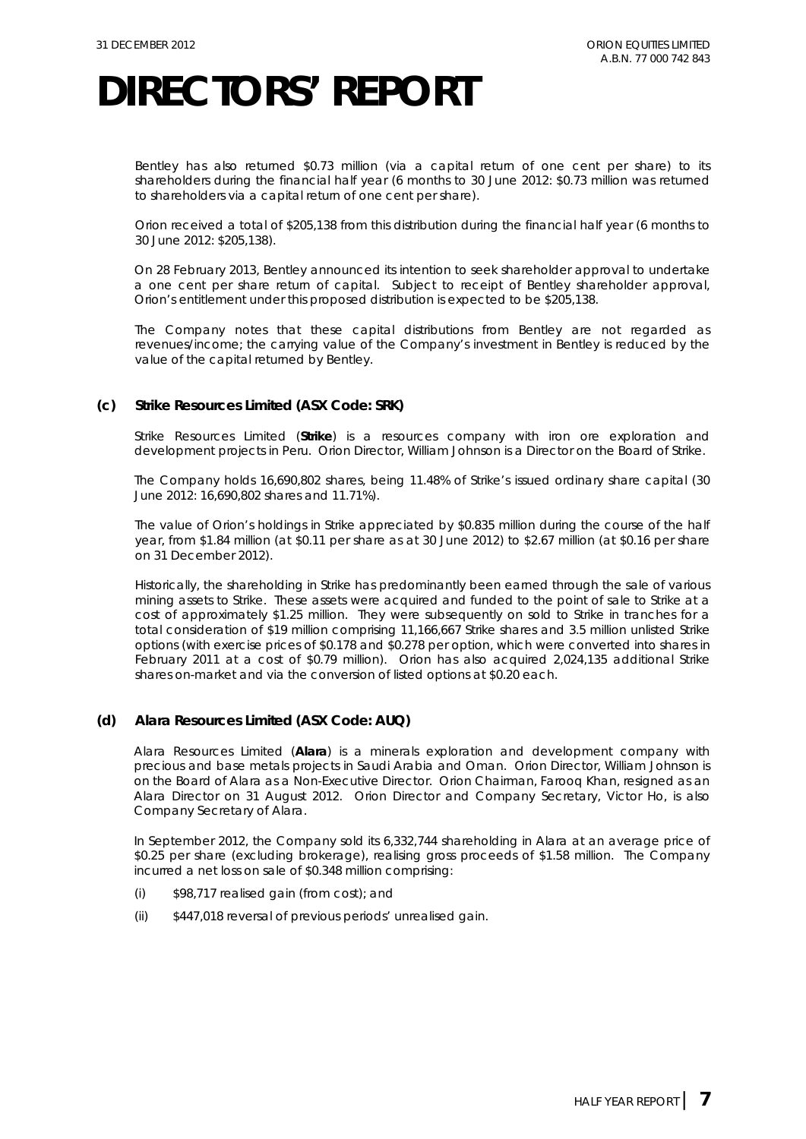Bentley has also returned \$0.73 million (via a capital return of one cent per share) to its shareholders during the financial half year (6 months to 30 June 2012: \$0.73 million was returned to shareholders via a capital return of one cent per share).

Orion received a total of \$205,138 from this distribution during the financial half year (6 months to 30 June 2012: \$205,138).

On 28 February 2013, Bentley announced its intention to seek shareholder approval to undertake a one cent per share return of capital. Subject to receipt of Bentley shareholder approval, Orion's entitlement under this proposed distribution is expected to be \$205,138.

The Company notes that these capital distributions from Bentley are not regarded as revenues/income; the carrying value of the Company's investment in Bentley is reduced by the value of the capital returned by Bentley.

### **(c) Strike Resources Limited (ASX Code: SRK)**

Strike Resources Limited (**Strike**) is a resources company with iron ore exploration and development projects in Peru. Orion Director, William Johnson is a Director on the Board of Strike.

The Company holds 16,690,802 shares, being 11.48% of Strike's issued ordinary share capital (30 June 2012: 16,690,802 shares and 11.71%).

The value of Orion's holdings in Strike appreciated by \$0.835 million during the course of the half year, from \$1.84 million (at \$0.11 per share as at 30 June 2012) to \$2.67 million (at \$0.16 per share on 31 December 2012).

Historically, the shareholding in Strike has predominantly been earned through the sale of various mining assets to Strike. These assets were acquired and funded to the point of sale to Strike at a cost of approximately \$1.25 million. They were subsequently on sold to Strike in tranches for a total consideration of \$19 million comprising 11,166,667 Strike shares and 3.5 million unlisted Strike options (with exercise prices of \$0.178 and \$0.278 per option, which were converted into shares in February 2011 at a cost of \$0.79 million). Orion has also acquired 2,024,135 additional Strike shares on-market and via the conversion of listed options at \$0.20 each.

### **(d) Alara Resources Limited (ASX Code: AUQ)**

Alara Resources Limited (**Alara**) is a minerals exploration and development company with precious and base metals projects in Saudi Arabia and Oman. Orion Director, William Johnson is on the Board of Alara as a Non-Executive Director. Orion Chairman, Farooq Khan, resigned as an Alara Director on 31 August 2012. Orion Director and Company Secretary, Victor Ho, is also Company Secretary of Alara.

In September 2012, the Company sold its 6,332,744 shareholding in Alara at an average price of \$0.25 per share (excluding brokerage), realising gross proceeds of \$1.58 million. The Company incurred a net loss on sale of \$0.348 million comprising:

- (i) \$98,717 realised gain (from cost); and
- (ii) \$447,018 reversal of previous periods' unrealised gain.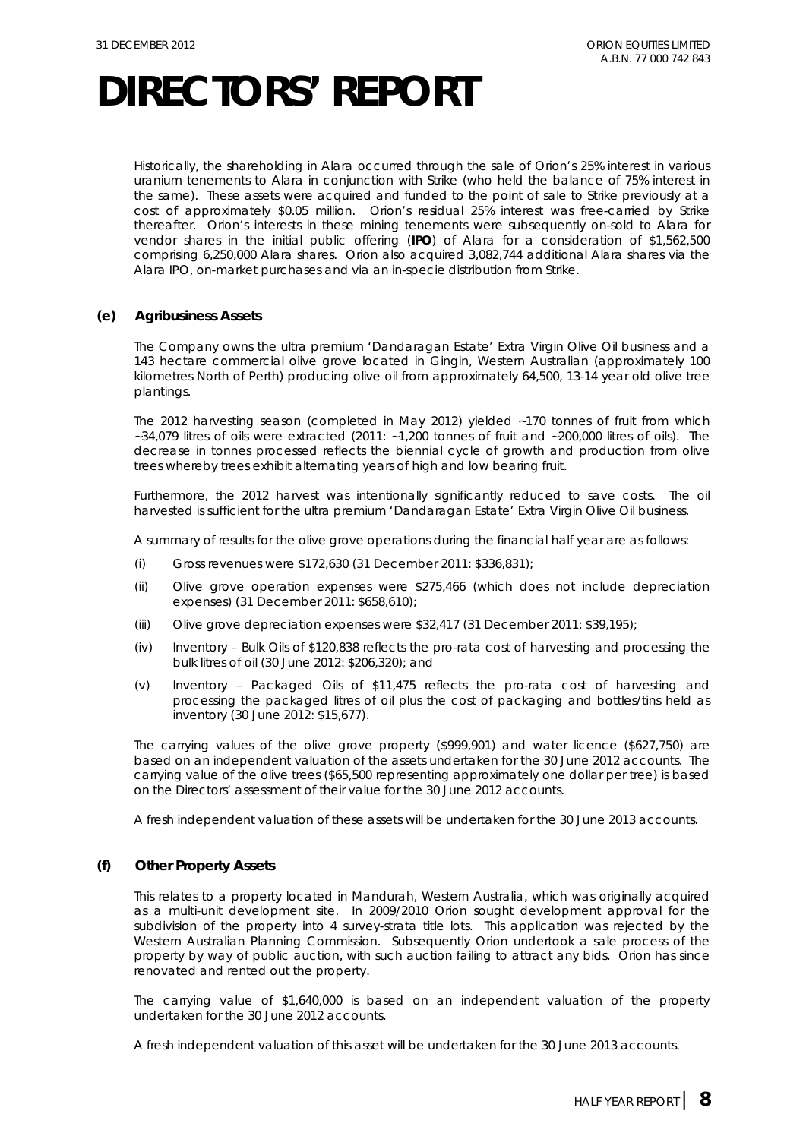Historically, the shareholding in Alara occurred through the sale of Orion's 25% interest in various uranium tenements to Alara in conjunction with Strike (who held the balance of 75% interest in the same). These assets were acquired and funded to the point of sale to Strike previously at a cost of approximately \$0.05 million. Orion's residual 25% interest was free-carried by Strike thereafter. Orion's interests in these mining tenements were subsequently on-sold to Alara for vendor shares in the initial public offering (**IPO**) of Alara for a consideration of \$1,562,500 comprising 6,250,000 Alara shares. Orion also acquired 3,082,744 additional Alara shares via the Alara IPO, on-market purchases and via an in-specie distribution from Strike.

### **(e) Agribusiness Assets**

The Company owns the ultra premium 'Dandaragan Estate' Extra Virgin Olive Oil business and a 143 hectare commercial olive grove located in Gingin, Western Australian (approximately 100 kilometres North of Perth) producing olive oil from approximately 64,500, 13-14 year old olive tree plantings.

The 2012 harvesting season (completed in May 2012) yielded ~170 tonnes of fruit from which ~34,079 litres of oils were extracted (2011: ~1,200 tonnes of fruit and ~200,000 litres of oils). The decrease in tonnes processed reflects the biennial cycle of growth and production from olive trees whereby trees exhibit alternating years of high and low bearing fruit.

Furthermore, the 2012 harvest was intentionally significantly reduced to save costs. The oil harvested is sufficient for the ultra premium 'Dandaragan Estate' Extra Virgin Olive Oil business.

A summary of results for the olive grove operations during the financial half year are as follows:

- (i) Gross revenues were \$172,630 (31 December 2011: \$336,831);
- (ii) Olive grove operation expenses were \$275,466 (which does not include depreciation expenses) (31 December 2011: \$658,610);
- (iii) Olive grove depreciation expenses were \$32,417 (31 December 2011: \$39,195);
- (iv) Inventory Bulk Oils of \$120,838 reflects the pro-rata cost of harvesting and processing the bulk litres of oil (30 June 2012: \$206,320); and
- (v) Inventory Packaged Oils of \$11,475 reflects the pro-rata cost of harvesting and processing the packaged litres of oil plus the cost of packaging and bottles/tins held as inventory (30 June 2012: \$15,677).

The carrying values of the olive grove property (\$999,901) and water licence (\$627,750) are based on an independent valuation of the assets undertaken for the 30 June 2012 accounts. The carrying value of the olive trees (\$65,500 representing approximately one dollar per tree) is based on the Directors' assessment of their value for the 30 June 2012 accounts.

A fresh independent valuation of these assets will be undertaken for the 30 June 2013 accounts.

### **(f) Other Property Assets**

This relates to a property located in Mandurah, Western Australia, which was originally acquired as a multi-unit development site. In 2009/2010 Orion sought development approval for the subdivision of the property into 4 survey-strata title lots. This application was rejected by the Western Australian Planning Commission. Subsequently Orion undertook a sale process of the property by way of public auction, with such auction failing to attract any bids. Orion has since renovated and rented out the property.

The carrying value of \$1,640,000 is based on an independent valuation of the property undertaken for the 30 June 2012 accounts.

A fresh independent valuation of this asset will be undertaken for the 30 June 2013 accounts.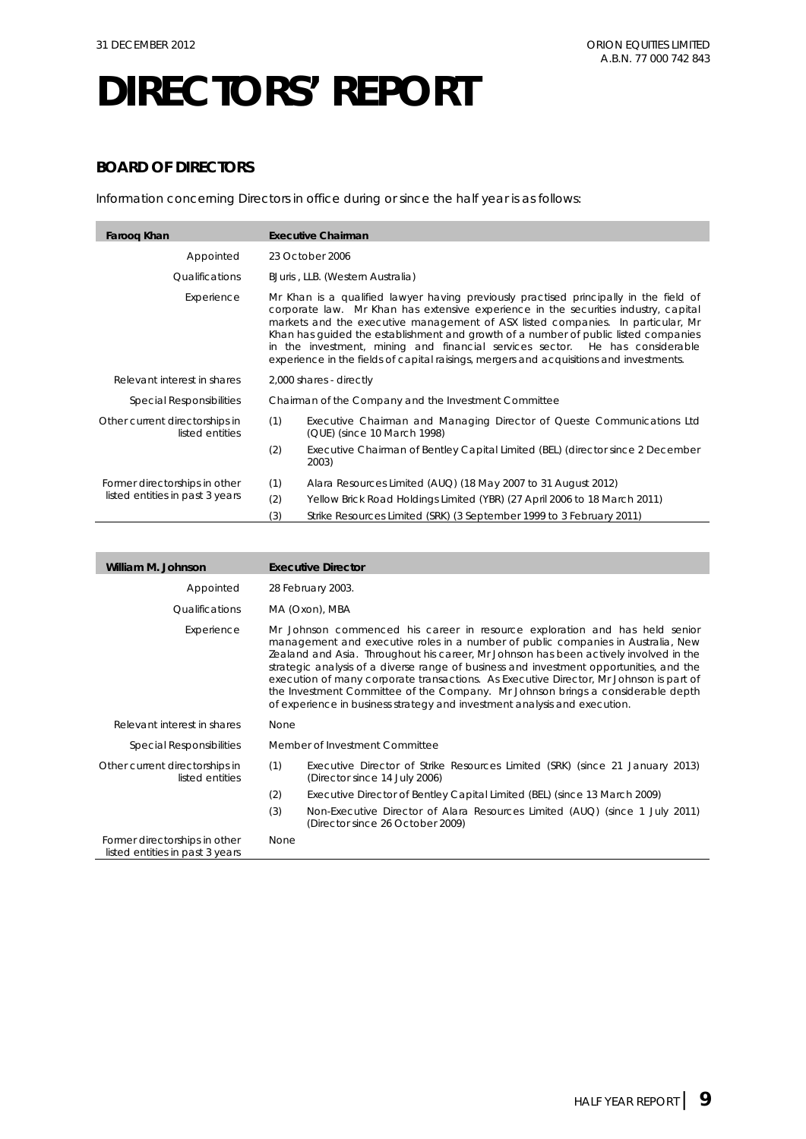### **BOARD OF DIRECTORS**

Information concerning Directors in office during or since the half year is as follows:

| Faroog Khan                                       | <b>Executive Chairman</b>                                                                                                                                                                                                                                                                                                                                                                                                                                                                                                         |                                                                                         |  |
|---------------------------------------------------|-----------------------------------------------------------------------------------------------------------------------------------------------------------------------------------------------------------------------------------------------------------------------------------------------------------------------------------------------------------------------------------------------------------------------------------------------------------------------------------------------------------------------------------|-----------------------------------------------------------------------------------------|--|
| Appointed                                         | 23 October 2006                                                                                                                                                                                                                                                                                                                                                                                                                                                                                                                   |                                                                                         |  |
| Qualifications                                    | BJuris, LLB. (Western Australia)                                                                                                                                                                                                                                                                                                                                                                                                                                                                                                  |                                                                                         |  |
| Experience                                        | Mr Khan is a qualified lawyer having previously practised principally in the field of<br>corporate law. Mr Khan has extensive experience in the securities industry, capital<br>markets and the executive management of ASX listed companies. In particular, Mr<br>Khan has quided the establishment and growth of a number of public listed companies<br>in the investment, mining and financial services sector. He has considerable<br>experience in the fields of capital raisings, mergers and acquisitions and investments. |                                                                                         |  |
| Relevant interest in shares                       | 2,000 shares - directly                                                                                                                                                                                                                                                                                                                                                                                                                                                                                                           |                                                                                         |  |
| <b>Special Responsibilities</b>                   | Chairman of the Company and the Investment Committee                                                                                                                                                                                                                                                                                                                                                                                                                                                                              |                                                                                         |  |
| Other current directorships in<br>listed entities | (1)<br>Executive Chairman and Managing Director of Queste Communications Ltd<br>(QUE) (since 10 March 1998)                                                                                                                                                                                                                                                                                                                                                                                                                       |                                                                                         |  |
|                                                   | (2)                                                                                                                                                                                                                                                                                                                                                                                                                                                                                                                               | Executive Chairman of Bentley Capital Limited (BEL) (director since 2 December<br>2003) |  |
| Former directorships in other                     | (1)                                                                                                                                                                                                                                                                                                                                                                                                                                                                                                                               | Alara Resources Limited (AUQ) (18 May 2007 to 31 August 2012)                           |  |
| listed entities in past 3 years                   | (2)                                                                                                                                                                                                                                                                                                                                                                                                                                                                                                                               | Yellow Brick Road Holdings Limited (YBR) (27 April 2006 to 18 March 2011)               |  |
|                                                   | (3)                                                                                                                                                                                                                                                                                                                                                                                                                                                                                                                               | Strike Resources Limited (SRK) (3 September 1999 to 3 February 2011)                    |  |

| William M. Johnson                                               |                                                                                                                                                                                                                                                                                                                                                                                                                                                                                                                                                                                                               | <b>Executive Director</b>                                                                                       |  |
|------------------------------------------------------------------|---------------------------------------------------------------------------------------------------------------------------------------------------------------------------------------------------------------------------------------------------------------------------------------------------------------------------------------------------------------------------------------------------------------------------------------------------------------------------------------------------------------------------------------------------------------------------------------------------------------|-----------------------------------------------------------------------------------------------------------------|--|
| Appointed                                                        |                                                                                                                                                                                                                                                                                                                                                                                                                                                                                                                                                                                                               | 28 February 2003.                                                                                               |  |
| <i><u><b>Oualifications</b></u></i>                              |                                                                                                                                                                                                                                                                                                                                                                                                                                                                                                                                                                                                               | MA (Oxon), MBA                                                                                                  |  |
| Experience                                                       | Mr Johnson commenced his career in resource exploration and has held senior<br>management and executive roles in a number of public companies in Australia, New<br>Zealand and Asia. Throughout his career, Mr Johnson has been actively involved in the<br>strategic analysis of a diverse range of business and investment opportunities, and the<br>execution of many corporate transactions. As Executive Director, Mr Johnson is part of<br>the Investment Committee of the Company. Mr Johnson brings a considerable depth<br>of experience in business strategy and investment analysis and execution. |                                                                                                                 |  |
| Relevant interest in shares                                      | None                                                                                                                                                                                                                                                                                                                                                                                                                                                                                                                                                                                                          |                                                                                                                 |  |
| <b>Special Responsibilities</b>                                  |                                                                                                                                                                                                                                                                                                                                                                                                                                                                                                                                                                                                               | Member of Investment Committee                                                                                  |  |
| Other current directorships in<br>listed entities                | (1)                                                                                                                                                                                                                                                                                                                                                                                                                                                                                                                                                                                                           | Executive Director of Strike Resources Limited (SRK) (since 21 January 2013)<br>(Director since 14 July 2006)   |  |
|                                                                  | (2)                                                                                                                                                                                                                                                                                                                                                                                                                                                                                                                                                                                                           | Executive Director of Bentley Capital Limited (BEL) (since 13 March 2009)                                       |  |
|                                                                  | (3)                                                                                                                                                                                                                                                                                                                                                                                                                                                                                                                                                                                                           | Non-Executive Director of Alara Resources Limited (AUQ) (since 1 July 2011)<br>(Director since 26 October 2009) |  |
| Former directorships in other<br>listed entities in past 3 years | None                                                                                                                                                                                                                                                                                                                                                                                                                                                                                                                                                                                                          |                                                                                                                 |  |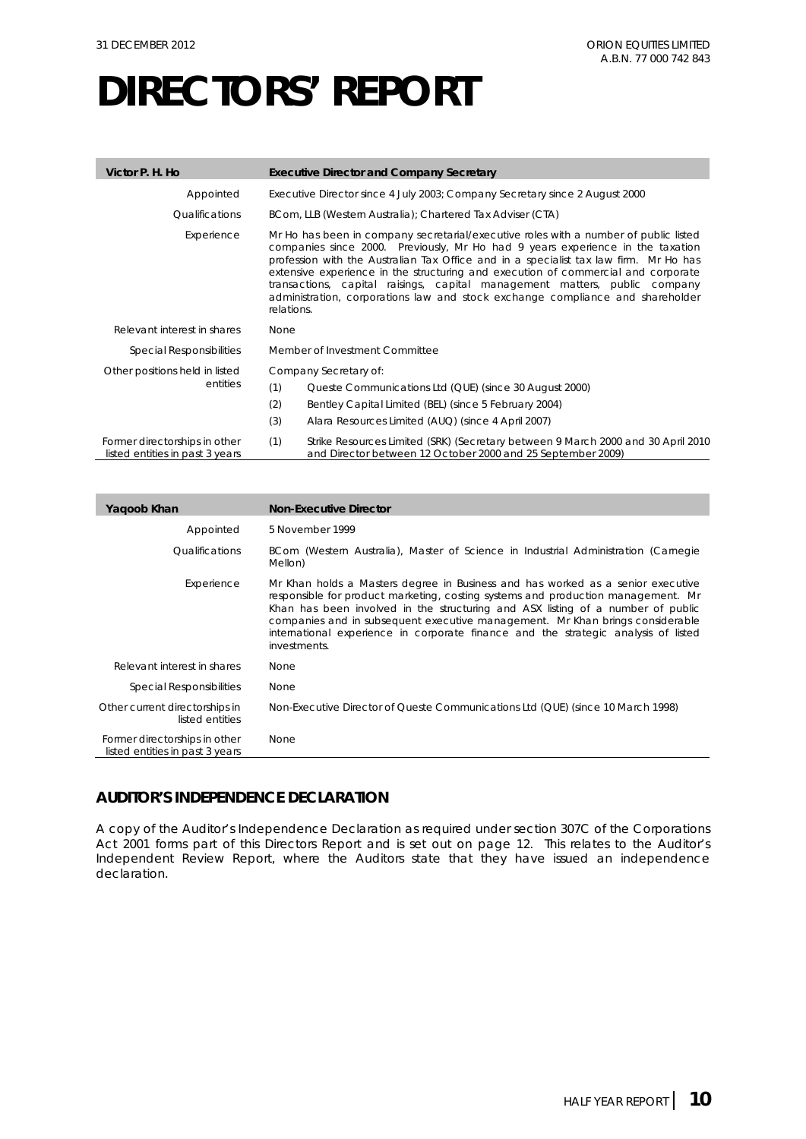| Victor P. H. Ho                                                  | <b>Executive Director and Company Secretary</b>                                                                                                                                                                                                                                                                                                                                                                                                                                                                                    |
|------------------------------------------------------------------|------------------------------------------------------------------------------------------------------------------------------------------------------------------------------------------------------------------------------------------------------------------------------------------------------------------------------------------------------------------------------------------------------------------------------------------------------------------------------------------------------------------------------------|
| Appointed                                                        | Executive Director since 4 July 2003; Company Secretary since 2 August 2000                                                                                                                                                                                                                                                                                                                                                                                                                                                        |
| Qualifications                                                   | BCom, LLB (Western Australia); Chartered Tax Adviser (CTA)                                                                                                                                                                                                                                                                                                                                                                                                                                                                         |
| Experience                                                       | Mr Ho has been in company secretarial/executive roles with a number of public listed<br>companies since 2000. Previously, Mr Ho had 9 years experience in the taxation<br>profession with the Australian Tax Office and in a specialist tax law firm. Mr Ho has<br>extensive experience in the structuring and execution of commercial and corporate<br>transactions, capital raisings, capital management matters, public company<br>administration, corporations law and stock exchange compliance and shareholder<br>relations. |
| Relevant interest in shares                                      | None                                                                                                                                                                                                                                                                                                                                                                                                                                                                                                                               |
| <b>Special Responsibilities</b>                                  | Member of Investment Committee                                                                                                                                                                                                                                                                                                                                                                                                                                                                                                     |
| Other positions held in listed<br>entities                       | Company Secretary of:<br>(1)<br>Queste Communications Ltd (QUE) (since 30 August 2000)<br>(2)<br>Bentley Capital Limited (BEL) (since 5 February 2004)                                                                                                                                                                                                                                                                                                                                                                             |
|                                                                  | (3)<br>Alara Resources Limited (AUQ) (since 4 April 2007)                                                                                                                                                                                                                                                                                                                                                                                                                                                                          |
| Former directorships in other<br>listed entities in past 3 years | Strike Resources Limited (SRK) (Secretary between 9 March 2000 and 30 April 2010<br>(1)<br>and Director between 12 October 2000 and 25 September 2009)                                                                                                                                                                                                                                                                                                                                                                             |

| Yagoob Khan                                                      | <b>Non-Executive Director</b>                                                                                                                                                                                                                                                                                                                                                                                                                 |
|------------------------------------------------------------------|-----------------------------------------------------------------------------------------------------------------------------------------------------------------------------------------------------------------------------------------------------------------------------------------------------------------------------------------------------------------------------------------------------------------------------------------------|
| Appointed                                                        | 5 November 1999                                                                                                                                                                                                                                                                                                                                                                                                                               |
| <i><b>Oualifications</b></i>                                     | BCom (Western Australia), Master of Science in Industrial Administration (Carnegie<br>Mellon)                                                                                                                                                                                                                                                                                                                                                 |
| Experience                                                       | Mr Khan holds a Masters degree in Business and has worked as a senior executive<br>responsible for product marketing, costing systems and production management. Mr<br>Khan has been involved in the structuring and ASX listing of a number of public<br>companies and in subsequent executive management. Mr Khan brings considerable<br>international experience in corporate finance and the strategic analysis of listed<br>investments. |
| Relevant interest in shares                                      | <b>None</b>                                                                                                                                                                                                                                                                                                                                                                                                                                   |
| Special Responsibilities                                         | None                                                                                                                                                                                                                                                                                                                                                                                                                                          |
| Other current directorships in<br>listed entities                | Non-Executive Director of Queste Communications Ltd (QUE) (since 10 March 1998)                                                                                                                                                                                                                                                                                                                                                               |
| Former directorships in other<br>listed entities in past 3 years | None                                                                                                                                                                                                                                                                                                                                                                                                                                          |

### **AUDITOR'S INDEPENDENCE DECLARATION**

A copy of the Auditor's Independence Declaration as required under section 307C of the *Corporations Act 2001* forms part of this Directors Report and is set out on page 12. This relates to the Auditor's Independent Review Report, where the Auditors state that they have issued an independence declaration.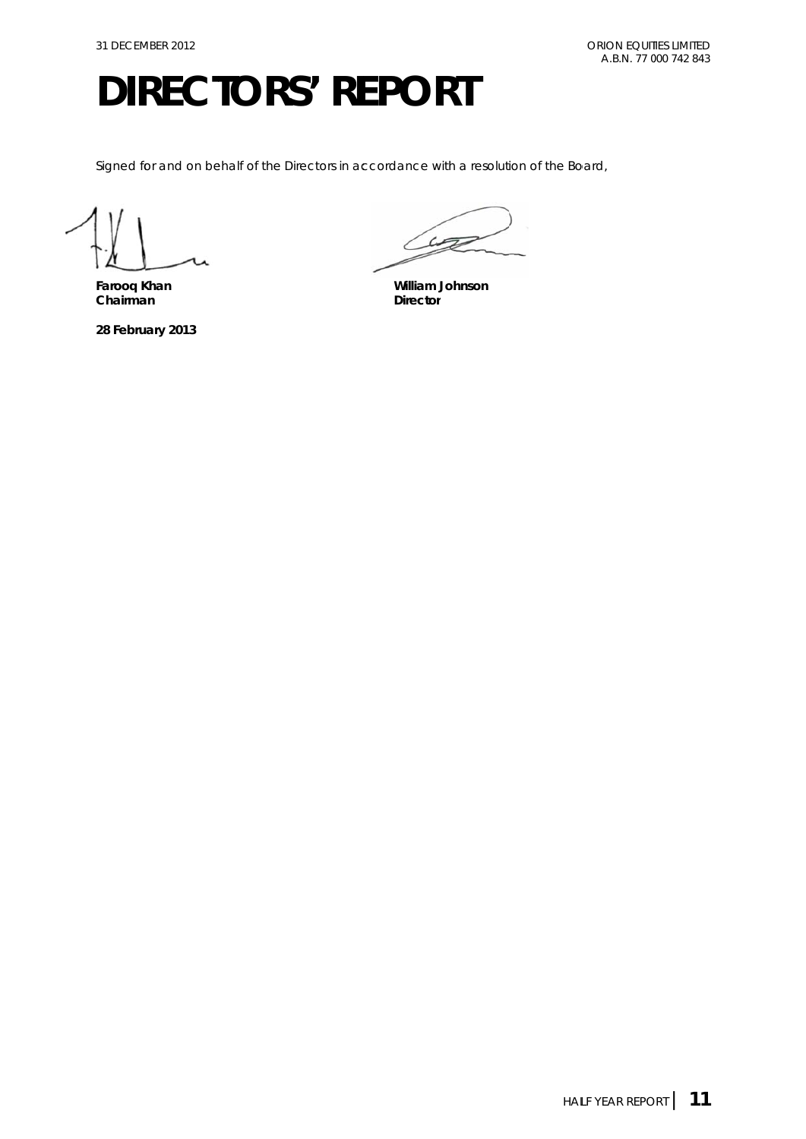Signed for and on behalf of the Directors in accordance with a resolution of the Board,

**Farooq K Khan Chairma an** 

**28 Febru ary 2013** 

 $\sim$  $\sqrt{2}$ 

**William Johnson** Director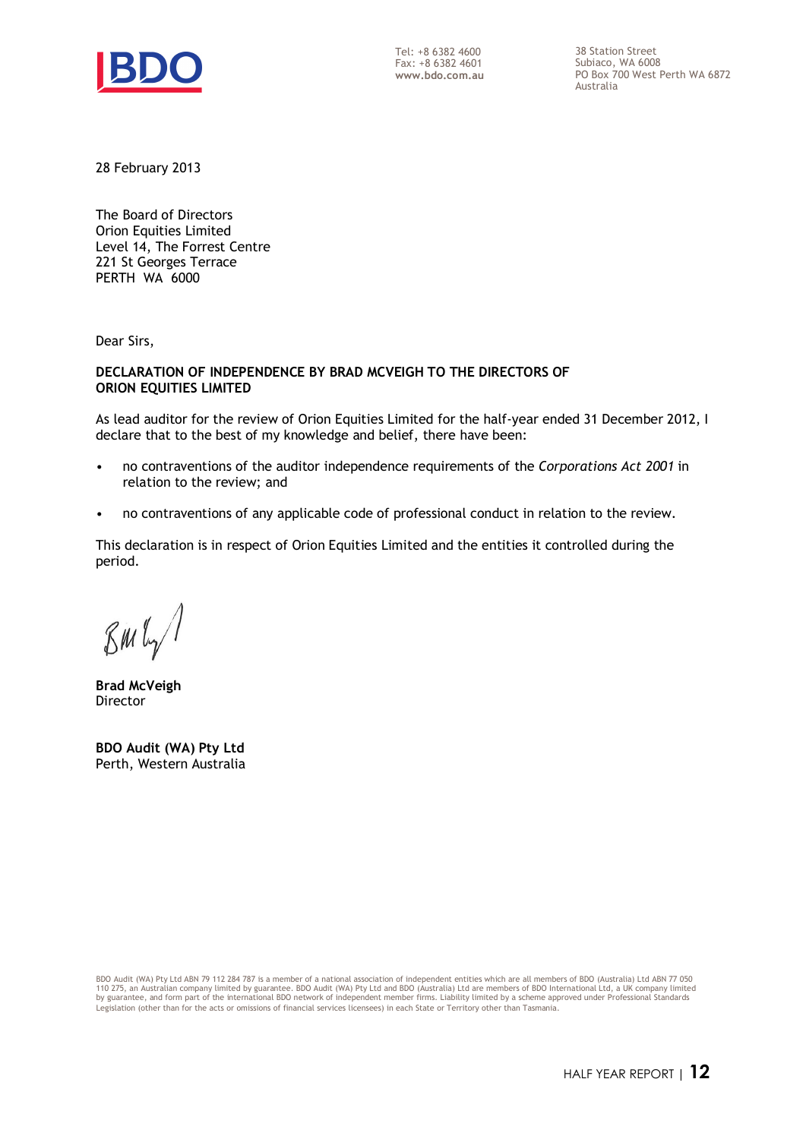

Tel: +8 6382 4600 Fax: +8 6382 4601 **www.bdo.com.au**  38 Station Street Subiaco, WA 6008 PO Box 700 West Perth WA 6872 Australia

28 February 2013

The Board of Directors Orion Equities Limited Level 14, The Forrest Centre 221 St Georges Terrace PERTH WA 6000

Dear Sirs,

### **DECLARATION OF INDEPENDENCE BY BRAD MCVEIGH TO THE DIRECTORS OF ORION EQUITIES LIMITED**

As lead auditor for the review of Orion Equities Limited for the half-year ended 31 December 2012, I declare that to the best of my knowledge and belief, there have been:

- no contraventions of the auditor independence requirements of the *Corporations Act 2001* in relation to the review; and
- no contraventions of any applicable code of professional conduct in relation to the review.

This declaration is in respect of Orion Equities Limited and the entities it controlled during the period.

 $\mathcal{B}$ m $\mathfrak{l}_{\gamma}$ /

**Brad McVeigh**  Director

**BDO Audit (WA) Pty Ltd**  Perth, Western Australia

BDO Audit (WA) Pty Ltd ABN 79 112 284 787 is a member of a national association of independent entities which are all members of BDO (Australia) Ltd ABN 77 050<br>110 275, an Australian company limited by guarantee. BDO Audit by guarantee, and form part of the international BDO network of independent member firms. Liability limited by a scheme approved under Professional Standards Legislation (other than for the acts or omissions of financial services licensees) in each State or Territory other than Tasmania.

HALF YEAR REPORT | **12**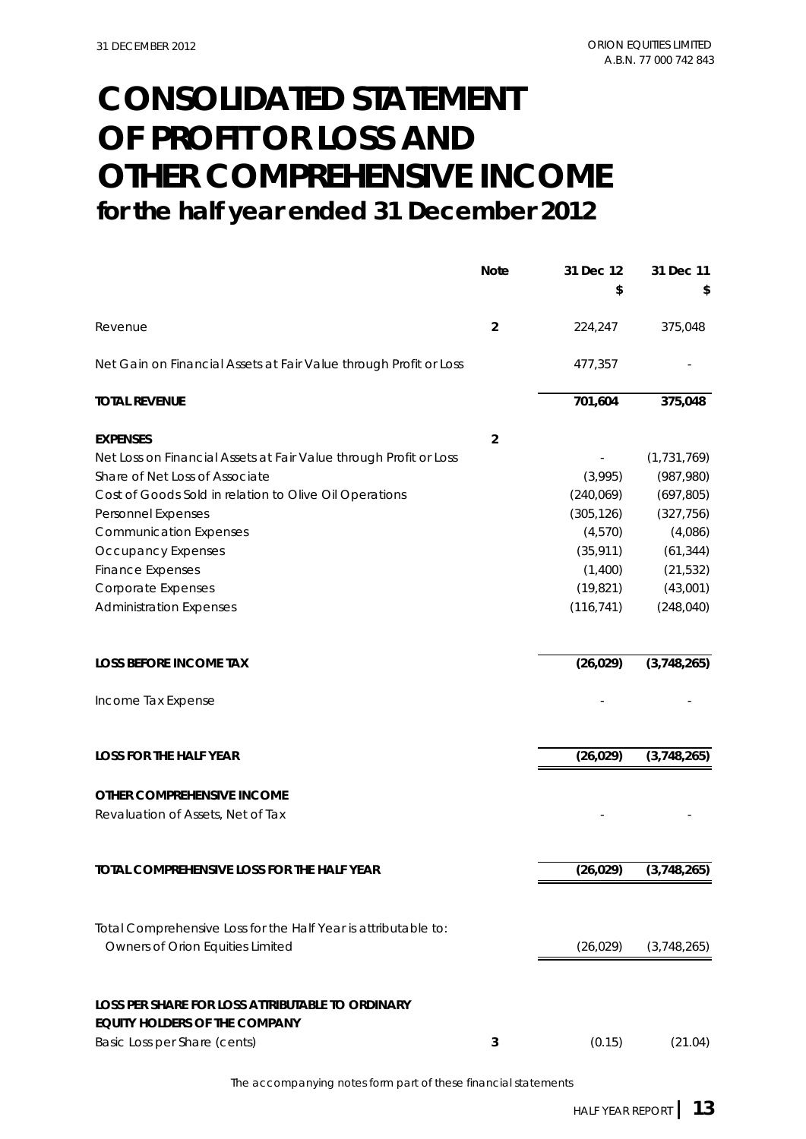## **CONSOLIDATED STATEMENT for the half year ended 31 December 2012 OF PROFIT OR LOSS AND OTHER COMPREHENSIVE INCOME**

|                                                                                          | <b>Note</b>    | 31 Dec 12  | 31 Dec 11     |
|------------------------------------------------------------------------------------------|----------------|------------|---------------|
|                                                                                          |                | \$         |               |
| Revenue                                                                                  | $\overline{2}$ | 224,247    | 375,048       |
| Net Gain on Financial Assets at Fair Value through Profit or Loss                        |                | 477,357    |               |
| <b>TOTAL REVENUE</b>                                                                     |                | 701,604    | 375,048       |
| <b>EXPENSES</b>                                                                          | $\overline{2}$ |            |               |
| Net Loss on Financial Assets at Fair Value through Profit or Loss                        |                |            | (1, 731, 769) |
| Share of Net Loss of Associate                                                           |                | (3,995)    | (987, 980)    |
| Cost of Goods Sold in relation to Olive Oil Operations                                   |                | (240,069)  | (697, 805)    |
| Personnel Expenses                                                                       |                | (305, 126) | (327, 756)    |
| <b>Communication Expenses</b>                                                            |                | (4, 570)   | (4,086)       |
| Occupancy Expenses                                                                       |                | (35, 911)  | (61, 344)     |
| <b>Finance Expenses</b>                                                                  |                | (1,400)    | (21, 532)     |
| Corporate Expenses                                                                       |                | (19, 821)  | (43,001)      |
| <b>Administration Expenses</b>                                                           |                | (116, 741) | (248, 040)    |
| <b>LOSS BEFORE INCOME TAX</b>                                                            |                | (26, 029)  | (3,748,265)   |
| Income Tax Expense                                                                       |                |            |               |
| <b>LOSS FOR THE HALF YEAR</b>                                                            |                | (26, 029)  | (3,748,265)   |
| OTHER COMPREHENSIVE INCOME                                                               |                |            |               |
| Revaluation of Assets, Net of Tax                                                        |                |            |               |
| TOTAL COMPREHENSIVE LOSS FOR THE HALF YEAR                                               |                | (26, 029)  | (3,748,265)   |
|                                                                                          |                |            |               |
| Total Comprehensive Loss for the Half Year is attributable to:                           |                |            |               |
| Owners of Orion Equities Limited                                                         |                | (26, 029)  | (3,748,265)   |
| LOSS PER SHARE FOR LOSS ATTRIBUTABLE TO ORDINARY<br><b>EQUITY HOLDERS OF THE COMPANY</b> |                |            |               |
| Basic Loss per Share (cents)                                                             | 3              | (0.15)     | (21.04)       |

The accompanying notes form part of these financial statements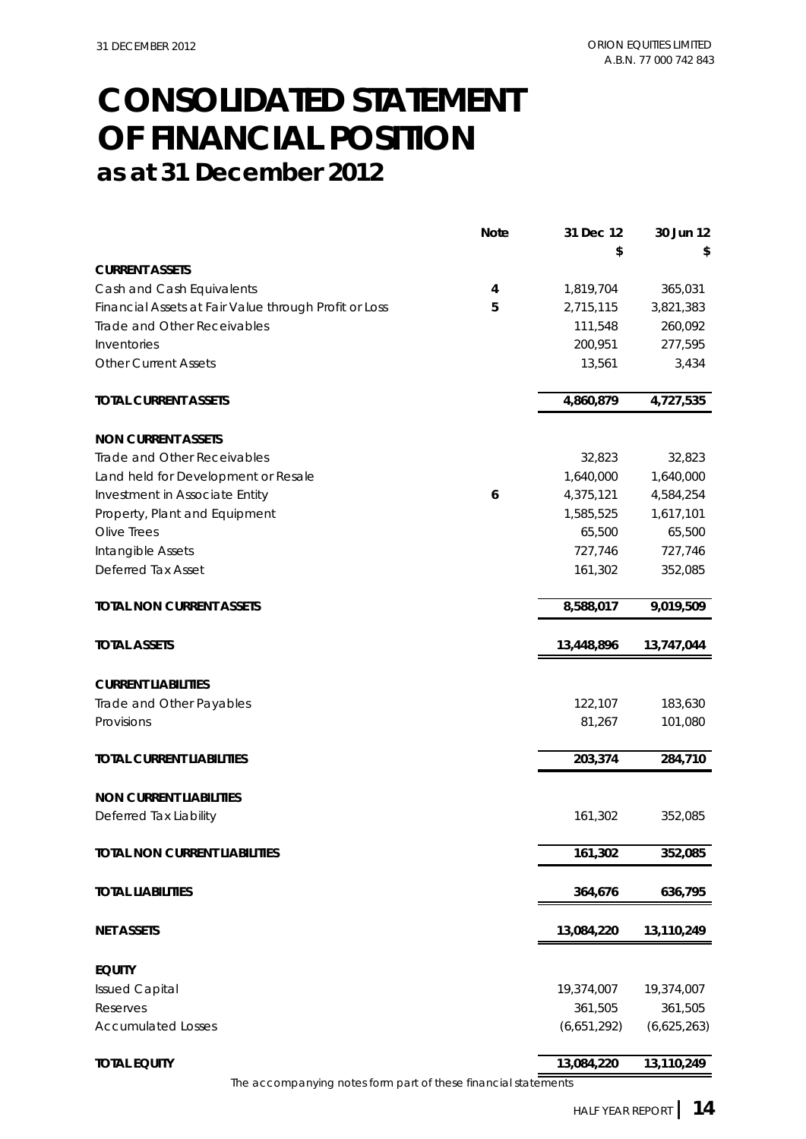### **as at 31 December 2012 OF FINANCIAL POSITION CONSOLIDATED STATEMENT**

|                                                                | <b>Note</b>             | 31 Dec 12   | 30 Jun 12   |
|----------------------------------------------------------------|-------------------------|-------------|-------------|
|                                                                |                         | \$          | S           |
| <b>CURRENT ASSETS</b>                                          |                         |             |             |
| Cash and Cash Equivalents                                      | $\overline{\mathbf{4}}$ | 1,819,704   | 365,031     |
| Financial Assets at Fair Value through Profit or Loss          | 5                       | 2,715,115   | 3,821,383   |
| Trade and Other Receivables                                    |                         | 111,548     | 260,092     |
| Inventories                                                    |                         | 200,951     | 277,595     |
| <b>Other Current Assets</b>                                    |                         | 13,561      | 3,434       |
| <b>TOTAL CURRENT ASSETS</b>                                    |                         | 4,860,879   | 4,727,535   |
| <b>NON CURRENT ASSETS</b>                                      |                         |             |             |
| Trade and Other Receivables                                    |                         | 32,823      | 32,823      |
| Land held for Development or Resale                            |                         | 1,640,000   | 1,640,000   |
| Investment in Associate Entity                                 | 6                       | 4,375,121   | 4,584,254   |
| Property, Plant and Equipment                                  |                         | 1,585,525   | 1,617,101   |
| Olive Trees                                                    |                         | 65,500      | 65,500      |
| Intangible Assets                                              |                         | 727,746     | 727,746     |
| Deferred Tax Asset                                             |                         | 161,302     | 352,085     |
| <b>TOTAL NON CURRENT ASSETS</b>                                |                         | 8,588,017   | 9,019,509   |
| <b>TOTAL ASSETS</b>                                            |                         | 13,448,896  | 13,747,044  |
| <b>CURRENT LIABILITIES</b>                                     |                         |             |             |
| Trade and Other Payables                                       |                         | 122,107     | 183,630     |
| Provisions                                                     |                         | 81,267      | 101,080     |
| <b>TOTAL CURRENT LIABILITIES</b>                               |                         | 203,374     | 284,710     |
|                                                                |                         |             |             |
| <b>NON CURRENT LIABILITIES</b>                                 |                         |             |             |
| Deferred Tax Liability                                         |                         | 161,302     | 352,085     |
| <b>TOTAL NON CURRENT LIABILITIES</b>                           |                         | 161,302     | 352,085     |
| <b>TOTAL LIABILITIES</b>                                       |                         | 364,676     | 636,795     |
|                                                                |                         |             |             |
| <b>NET ASSETS</b>                                              |                         | 13,084,220  | 13,110,249  |
| <b>EQUITY</b>                                                  |                         |             |             |
| <b>Issued Capital</b>                                          |                         | 19,374,007  | 19,374,007  |
| Reserves                                                       |                         | 361,505     | 361,505     |
| <b>Accumulated Losses</b>                                      |                         | (6,651,292) | (6,625,263) |
| <b>TOTAL EQUITY</b>                                            |                         | 13,084,220  | 13,110,249  |
| The accompanying notes form part of these financial statements |                         |             |             |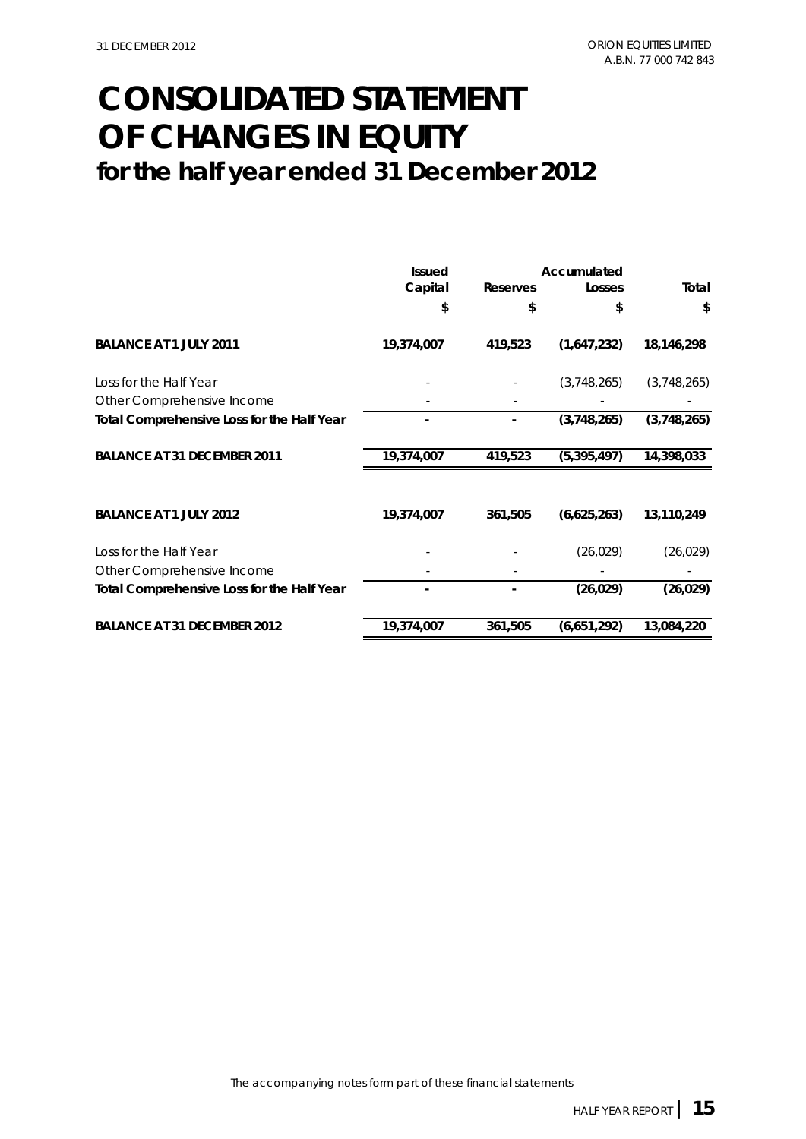### **CONSOLIDATED STATEMENT for the half year ended 31 December 2012 OF CHANGES IN EQUITY**

|                                                   | <b>Issued</b> |          | Accumulated   |             |
|---------------------------------------------------|---------------|----------|---------------|-------------|
|                                                   | Capital       | Reserves | Losses        | Total       |
|                                                   | \$            | \$       | \$            | \$          |
| <b>BALANCE AT 1 JULY 2011</b>                     | 19,374,007    | 419,523  | (1,647,232)   | 18,146,298  |
| Loss for the Half Year                            |               |          | (3,748,265)   | (3,748,265) |
| Other Comprehensive Income                        |               |          |               |             |
| <b>Total Comprehensive Loss for the Half Year</b> |               |          | (3,748,265)   | (3,748,265) |
| <b>BALANCE AT 31 DECEMBER 2011</b>                | 19,374,007    | 419,523  | (5, 395, 497) | 14,398,033  |
| <b>BALANCE AT 1 JULY 2012</b>                     | 19,374,007    | 361,505  | (6,625,263)   | 13,110,249  |
| Loss for the Half Year                            |               |          | (26, 029)     | (26, 029)   |
| Other Comprehensive Income                        |               |          |               |             |
| <b>Total Comprehensive Loss for the Half Year</b> |               |          | (26, 029)     | (26, 029)   |
| <b>BALANCE AT 31 DECEMBER 2012</b>                | 19,374,007    | 361,505  | (6,651,292)   | 13,084,220  |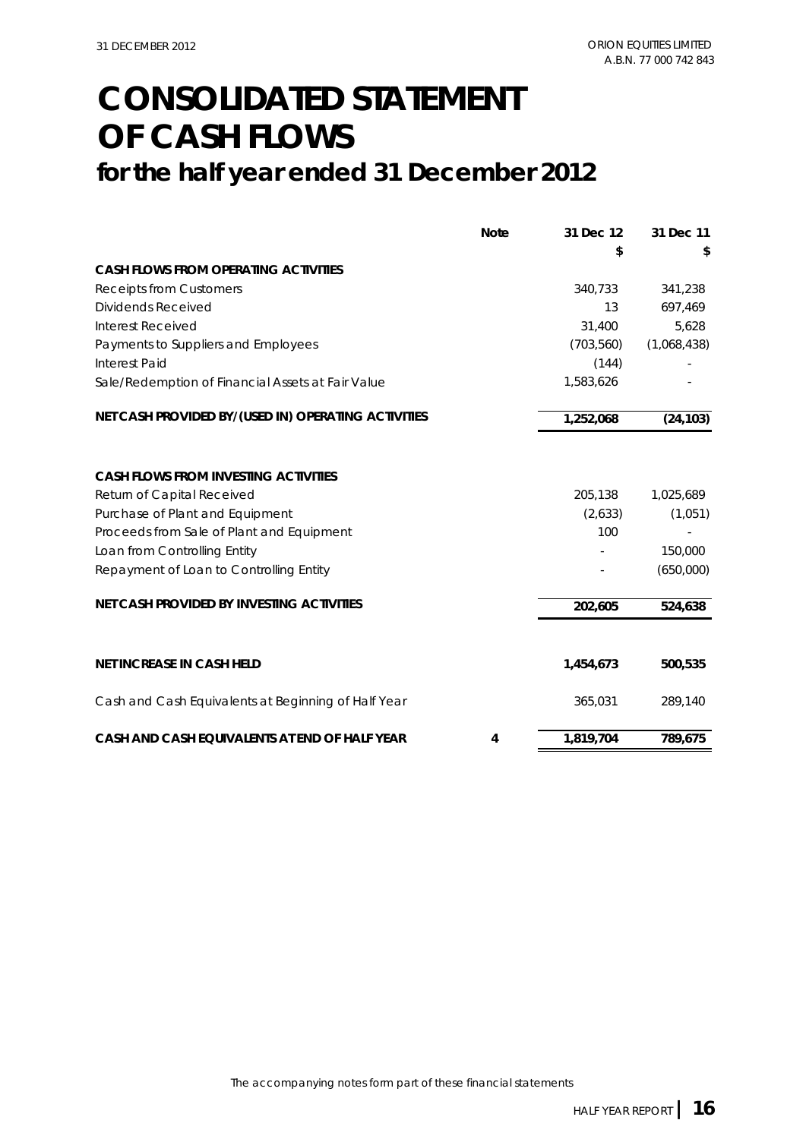## **OF CASH FLOWS CONSOLIDATED STATEMENT**

### **for the half year ended 31 December 2012**

|                                                     | <b>Note</b> | 31 Dec 12  | 31 Dec 11   |
|-----------------------------------------------------|-------------|------------|-------------|
|                                                     |             | \$         |             |
| <b>CASH FLOWS FROM OPERATING ACTIVITIES</b>         |             |            |             |
| <b>Receipts from Customers</b>                      |             | 340,733    | 341,238     |
| <b>Dividends Received</b>                           |             | 13         | 697,469     |
| Interest Received                                   |             | 31,400     | 5,628       |
| Payments to Suppliers and Employees                 |             | (703, 560) | (1,068,438) |
| <b>Interest Paid</b>                                |             | (144)      |             |
| Sale/Redemption of Financial Assets at Fair Value   |             | 1,583,626  |             |
| NET CASH PROVIDED BY/(USED IN) OPERATING ACTIVITIES |             | 1,252,068  | (24, 103)   |
|                                                     |             |            |             |
| <b>CASH FLOWS FROM INVESTING ACTIVITIES</b>         |             |            |             |
| Return of Capital Received                          |             | 205,138    | 1,025,689   |
| Purchase of Plant and Equipment                     |             | (2,633)    | (1,051)     |
| Proceeds from Sale of Plant and Equipment           |             | 100        |             |
| Loan from Controlling Entity                        |             |            | 150,000     |
| Repayment of Loan to Controlling Entity             |             |            | (650,000)   |
| NET CASH PROVIDED BY INVESTING ACTIVITIES           |             | 202,605    | 524,638     |
|                                                     |             |            |             |
| <b>NET INCREASE IN CASH HELD</b>                    |             | 1,454,673  | 500,535     |
| Cash and Cash Equivalents at Beginning of Half Year |             | 365,031    | 289,140     |
| CASH AND CASH EQUIVALENTS AT END OF HALF YEAR       | 4           | 1,819,704  | 789,675     |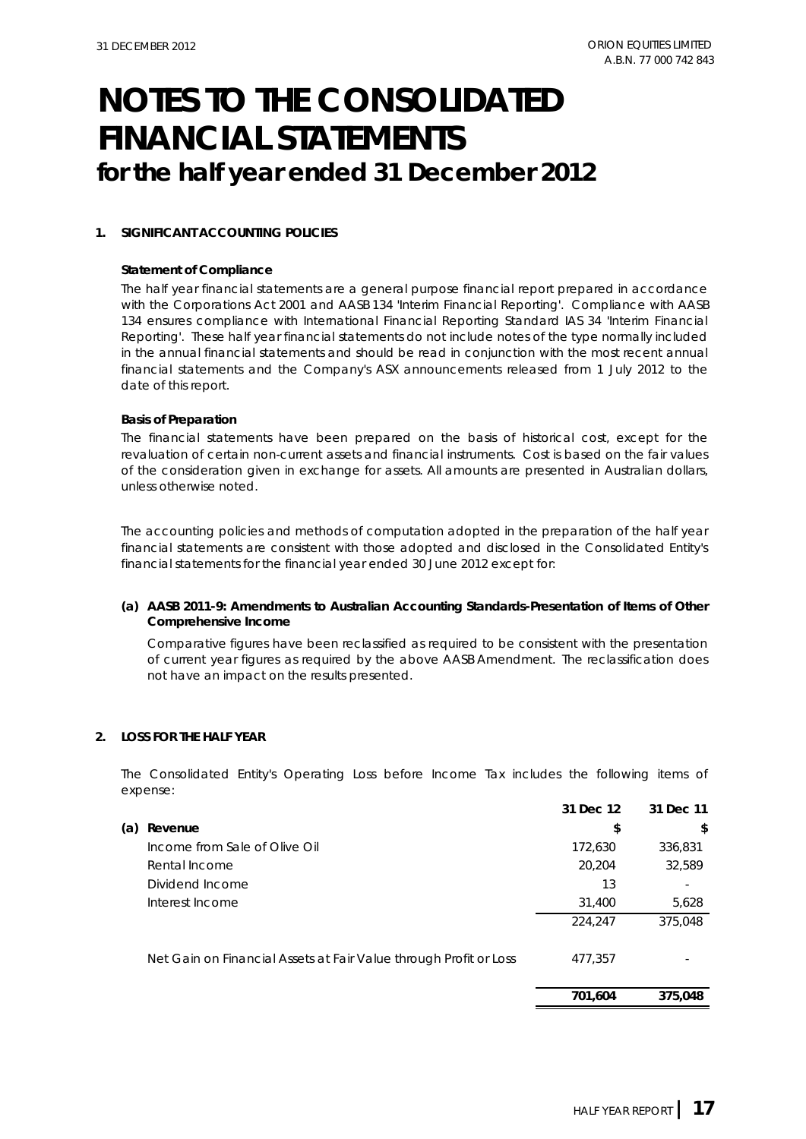### **1. SIGNIFICANT ACCOUNTING POLICIES**

#### **Statement of Compliance**

The half year financial statements are a general purpose financial report prepared in accordance with the Corporations Act 2001 and AASB 134 'Interim Financial Reporting'. Compliance with AASB 134 ensures compliance with International Financial Reporting Standard IAS 34 'Interim Financial Reporting'. These half year financial statements do not include notes of the type normally included in the annual financial statements and should be read in conjunction with the most recent annual financial statements and the Company's ASX announcements released from 1 July 2012 to the date of this report.

#### **Basis of Preparation**

The financial statements have been prepared on the basis of historical cost, except for the revaluation of certain non-current assets and financial instruments. Cost is based on the fair values of the consideration given in exchange for assets. All amounts are presented in Australian dollars, unless otherwise noted.

The accounting policies and methods of computation adopted in the preparation of the half year financial statements are consistent with those adopted and disclosed in the Consolidated Entity's financial statements for the financial year ended 30 June 2012 except for:

### **(a) AASB 2011-9: Amendments to Australian Accounting Standards-Presentation of Items of Other Comprehensive Income**

Comparative figures have been reclassified as required to be consistent with the presentation of current year figures as required by the above AASB Amendment. The reclassification does not have an impact on the results presented.

### **2. LOSS FOR THE HALF YEAR**

The Consolidated Entity's Operating Loss before Income Tax includes the following items of expense:

|     |                                                                   | 31 Dec 12 | 31 Dec 11 |
|-----|-------------------------------------------------------------------|-----------|-----------|
| (a) | Revenue                                                           | \$        | \$        |
|     | Income from Sale of Olive Oil                                     | 172,630   | 336,831   |
|     | Rental Income                                                     | 20,204    | 32,589    |
|     | Dividend Income                                                   | 13        |           |
|     | Interest Income                                                   | 31,400    | 5,628     |
|     |                                                                   | 224,247   | 375,048   |
|     | Net Gain on Financial Assets at Fair Value through Profit or Loss | 477.357   |           |
|     |                                                                   | 701,604   | 375,048   |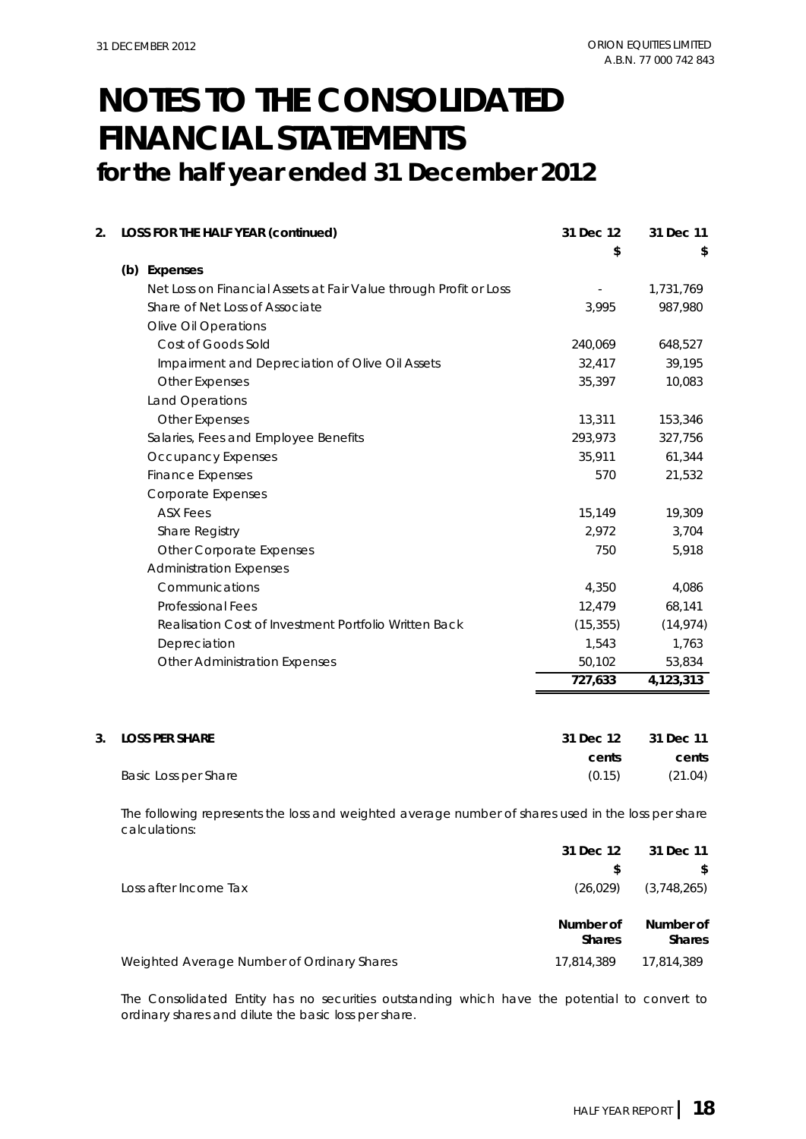| 2. | LOSS FOR THE HALF YEAR (continued)                                | 31 Dec 12<br>\$ | 31 Dec 11<br>\$ |
|----|-------------------------------------------------------------------|-----------------|-----------------|
|    | (b) Expenses                                                      |                 |                 |
|    | Net Loss on Financial Assets at Fair Value through Profit or Loss |                 | 1,731,769       |
|    | Share of Net Loss of Associate                                    | 3,995           | 987,980         |
|    | <b>Olive Oil Operations</b>                                       |                 |                 |
|    | Cost of Goods Sold                                                | 240,069         | 648,527         |
|    | Impairment and Depreciation of Olive Oil Assets                   | 32,417          | 39,195          |
|    | <b>Other Expenses</b>                                             | 35,397          | 10,083          |
|    | Land Operations                                                   |                 |                 |
|    | <b>Other Expenses</b>                                             | 13,311          | 153,346         |
|    | Salaries, Fees and Employee Benefits                              | 293,973         | 327,756         |
|    | Occupancy Expenses                                                | 35,911          | 61,344          |
|    | <b>Finance Expenses</b>                                           | 570             | 21,532          |
|    | <b>Corporate Expenses</b>                                         |                 |                 |
|    | <b>ASX Fees</b>                                                   | 15,149          | 19,309          |
|    | Share Registry                                                    | 2,972           | 3,704           |
|    | <b>Other Corporate Expenses</b>                                   | 750             | 5,918           |
|    | <b>Administration Expenses</b>                                    |                 |                 |
|    | Communications                                                    | 4,350           | 4,086           |
|    | <b>Professional Fees</b>                                          | 12,479          | 68,141          |
|    | Realisation Cost of Investment Portfolio Written Back             | (15, 355)       | (14, 974)       |
|    | Depreciation                                                      | 1,543           | 1,763           |
|    | <b>Other Administration Expenses</b>                              | 50,102          | 53,834          |
|    |                                                                   | 727,633         | 4,123,313       |
|    |                                                                   |                 |                 |
| 3. | <b>LOSS PER SHARE</b>                                             | 31 Dec 12       | 31 Dec 11       |
|    |                                                                   | cents           | cents           |
|    | Basic Loss per Share                                              | (0.15)          | (21.04)         |

The following represents the loss and weighted average number of shares used in the loss per share calculations:

|                                            | 31 Dec 12                  | 31 Dec 11                  |
|--------------------------------------------|----------------------------|----------------------------|
|                                            |                            | \$                         |
| Loss after Income Tax                      | (26, 029)                  | (3,748,265)                |
|                                            | Number of<br><b>Shares</b> | Number of<br><b>Shares</b> |
| Weighted Average Number of Ordinary Shares | 17,814,389                 | 17,814,389                 |

The Consolidated Entity has no securities outstanding which have the potential to convert to ordinary shares and dilute the basic loss per share.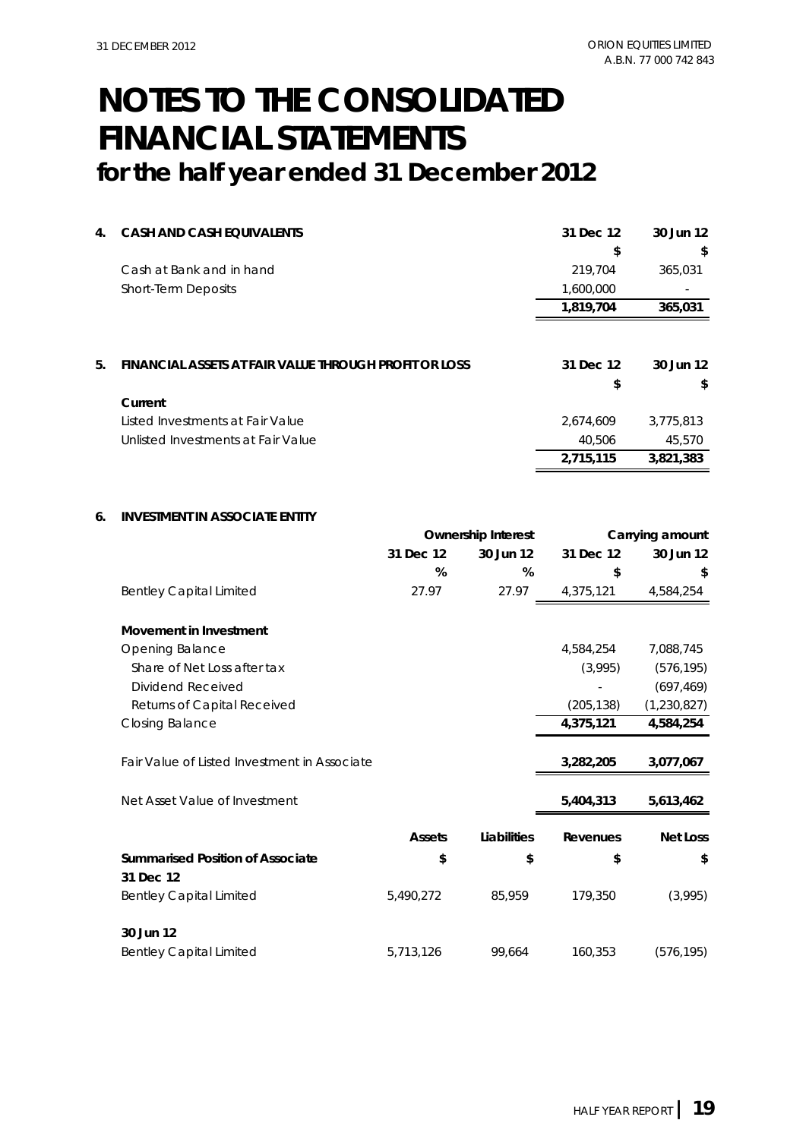## **NOTES TO THE CONSOLIDATED FINANCIAL STATEMENTS**

**for the half year ended 31 December 2012**

| 4. | <b>CASH AND CASH EQUIVALENTS</b>                      | 31 Dec 12       | 30 Jun 12       |
|----|-------------------------------------------------------|-----------------|-----------------|
|    |                                                       | S               | \$              |
|    | Cash at Bank and in hand                              | 219,704         | 365,031         |
|    | <b>Short-Term Deposits</b>                            | 1,600,000       |                 |
|    |                                                       | 1,819,704       | 365,031         |
| 5. | FINANCIAL ASSETS AT FAIR VALUE THROUGH PROFIT OR LOSS | 31 Dec 12<br>\$ | 30 Jun 12<br>\$ |
|    | Current                                               |                 |                 |
|    | Listed Investments at Fair Value                      | 2,674,609       | 3,775,813       |
|    | Unlisted Investments at Fair Value                    | 40,506          | 45,570          |
|    |                                                       | 2,715,115       | 3,821,383       |

### **6. INVESTMENT IN ASSOCIATE ENTITY**

|                                              |               | <b>Ownership Interest</b> |            | Carrying amount |
|----------------------------------------------|---------------|---------------------------|------------|-----------------|
|                                              | 31 Dec 12     | 30 Jun 12                 | 31 Dec 12  | 30 Jun 12       |
|                                              | %             | %                         | \$         | \$              |
| <b>Bentley Capital Limited</b>               | 27.97         | 27.97                     | 4,375,121  | 4,584,254       |
| <b>Movement in Investment</b>                |               |                           |            |                 |
| Opening Balance                              |               |                           | 4,584,254  | 7,088,745       |
| Share of Net Loss after tax                  |               |                           | (3,995)    | (576, 195)      |
| Dividend Received                            |               |                           |            | (697, 469)      |
| Returns of Capital Received                  |               |                           | (205, 138) | (1,230,827)     |
| <b>Closing Balance</b>                       |               |                           | 4,375,121  | 4,584,254       |
| Fair Value of Listed Investment in Associate |               |                           | 3,282,205  | 3,077,067       |
| Net Asset Value of Investment                |               |                           | 5,404,313  | 5,613,462       |
|                                              | <b>Assets</b> | Liabilities               | Revenues   | <b>Net Loss</b> |
| <b>Summarised Position of Associate</b>      | \$            | \$                        | \$         | \$              |
| 31 Dec 12                                    |               |                           |            |                 |
| <b>Bentley Capital Limited</b>               | 5,490,272     | 85,959                    | 179,350    | (3,995)         |
| 30 Jun 12                                    |               |                           |            |                 |
| <b>Bentley Capital Limited</b>               | 5,713,126     | 99,664                    | 160,353    | (576, 195)      |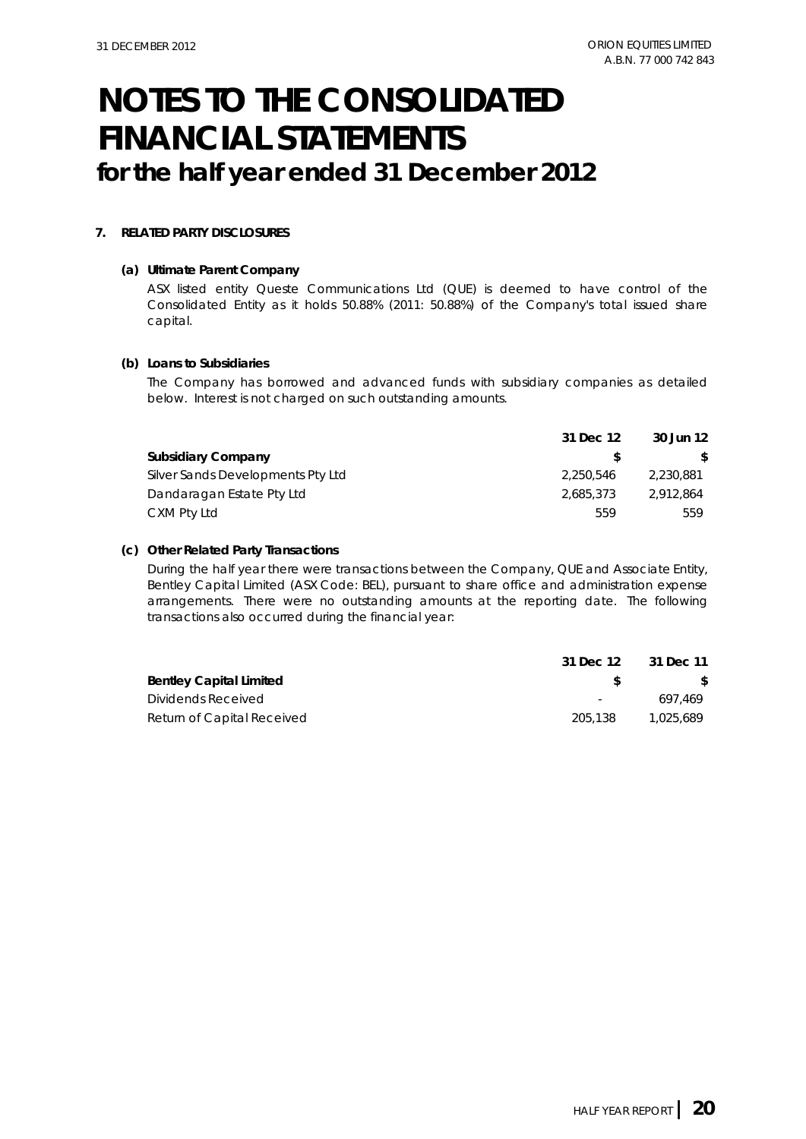#### **7. RELATED PARTY DISCLOSURES**

#### **(a) Ultimate Parent Company**

ASX listed entity Queste Communications Ltd (QUE) is deemed to have control of the Consolidated Entity as it holds 50.88% (2011: 50.88%) of the Company's total issued share capital.

#### **(b) Loans to Subsidiaries**

The Company has borrowed and advanced funds with subsidiary companies as detailed below. Interest is not charged on such outstanding amounts.

|                                   | 31 Dec 12 | 30 Jun 12 |
|-----------------------------------|-----------|-----------|
| <b>Subsidiary Company</b>         |           | S.        |
| Silver Sands Developments Pty Ltd | 2,250,546 | 2.230.881 |
| Dandaragan Estate Pty Ltd         | 2,685,373 | 2,912,864 |
| CXM Pty Ltd                       | 559       | 559       |

#### **(c) Other Related Party Transactions**

During the half year there were transactions between the Company, QUE and Associate Entity, Bentley Capital Limited (ASX Code: BEL), pursuant to share office and administration expense arrangements. There were no outstanding amounts at the reporting date. The following transactions also occurred during the financial year:

|                                | 31 Dec 12 | 31 Dec 11 |
|--------------------------------|-----------|-----------|
| <b>Bentley Capital Limited</b> |           |           |
| Dividends Received             | $\sim$    | 697.469   |
| Return of Capital Received     | 205.138   | 1.025.689 |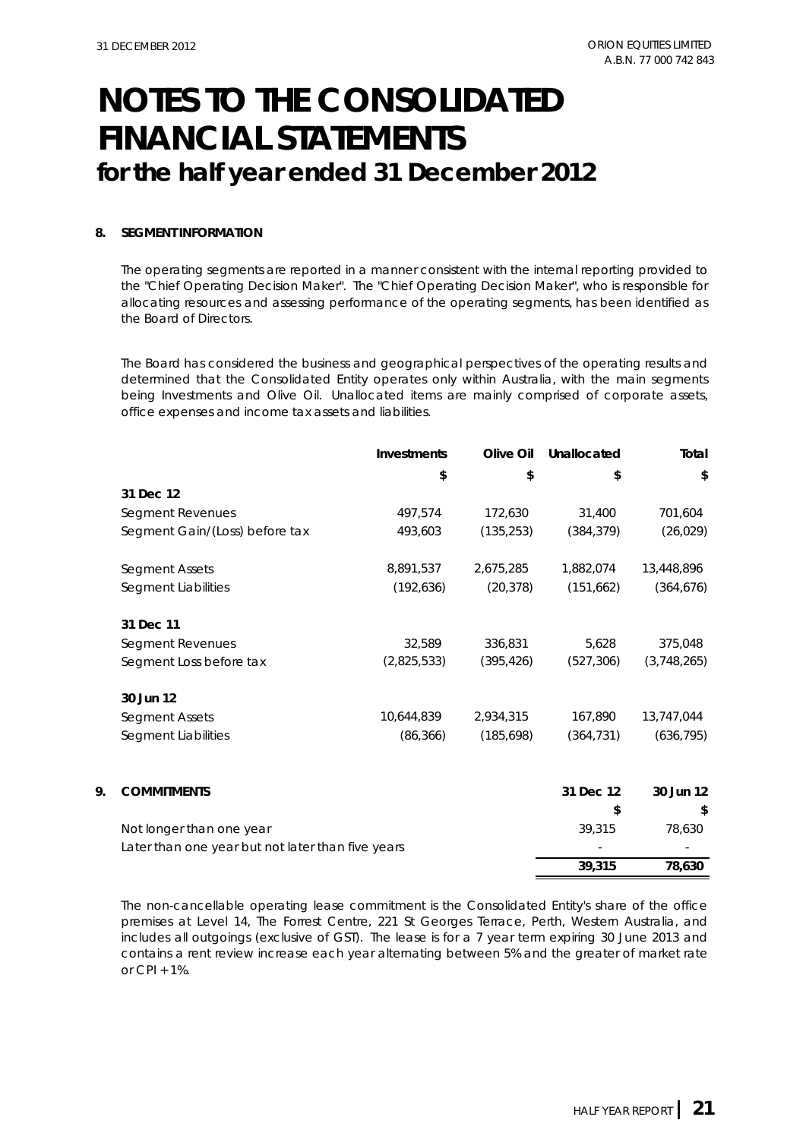### **8. SEGMENT INFORMATION**

The operating segments are reported in a manner consistent with the internal reporting provided to the "Chief Operating Decision Maker". The "Chief Operating Decision Maker", who is responsible for allocating resources and assessing performance of the operating segments, has been identified as the Board of Directors.

The Board has considered the business and geographical perspectives of the operating results and determined that the Consolidated Entity operates only within Australia, with the main segments being Investments and Olive Oil. Unallocated items are mainly comprised of corporate assets, office expenses and income tax assets and liabilities.

|    |                                                   | <b>Investments</b> | Olive Oil  | Unallocated | Total       |  |
|----|---------------------------------------------------|--------------------|------------|-------------|-------------|--|
|    |                                                   | \$                 | \$         | \$          | \$          |  |
|    | 31 Dec 12                                         |                    |            |             |             |  |
|    | Segment Revenues                                  | 497,574            | 172,630    | 31,400      | 701,604     |  |
|    | Segment Gain/(Loss) before tax                    | 493,603            | (135, 253) | (384, 379)  | (26, 029)   |  |
|    | Segment Assets                                    | 8,891,537          | 2,675,285  | 1,882,074   | 13,448,896  |  |
|    | Segment Liabilities                               | (192, 636)         | (20, 378)  | (151, 662)  | (364, 676)  |  |
|    | 31 Dec 11                                         |                    |            |             |             |  |
|    | Segment Revenues                                  | 32,589             | 336,831    | 5,628       | 375,048     |  |
|    | Segment Loss before tax                           | (2,825,533)        | (395, 426) | (527, 306)  | (3,748,265) |  |
|    | 30 Jun 12                                         |                    |            |             |             |  |
|    | Segment Assets                                    | 10,644,839         | 2,934,315  | 167,890     | 13,747,044  |  |
|    | Segment Liabilities                               | (86, 366)          | (185, 698) | (364, 731)  | (636, 795)  |  |
| 9. | <b>COMMITMENTS</b>                                |                    |            | 31 Dec 12   | 30 Jun 12   |  |
|    |                                                   |                    |            | \$          | \$          |  |
|    | Not longer than one year                          |                    |            | 39,315      | 78,630      |  |
|    | Later than one year but not later than five years |                    |            |             |             |  |
|    |                                                   |                    |            | 39.315      | 78.630      |  |

The non-cancellable operating lease commitment is the Consolidated Entity's share of the office premises at Level 14, The Forrest Centre, 221 St Georges Terrace, Perth, Western Australia, and includes all outgoings (exclusive of GST). The lease is for a 7 year term expiring 30 June 2013 and contains a rent review increase each year alternating between 5% and the greater of market rate or CPI + 1%.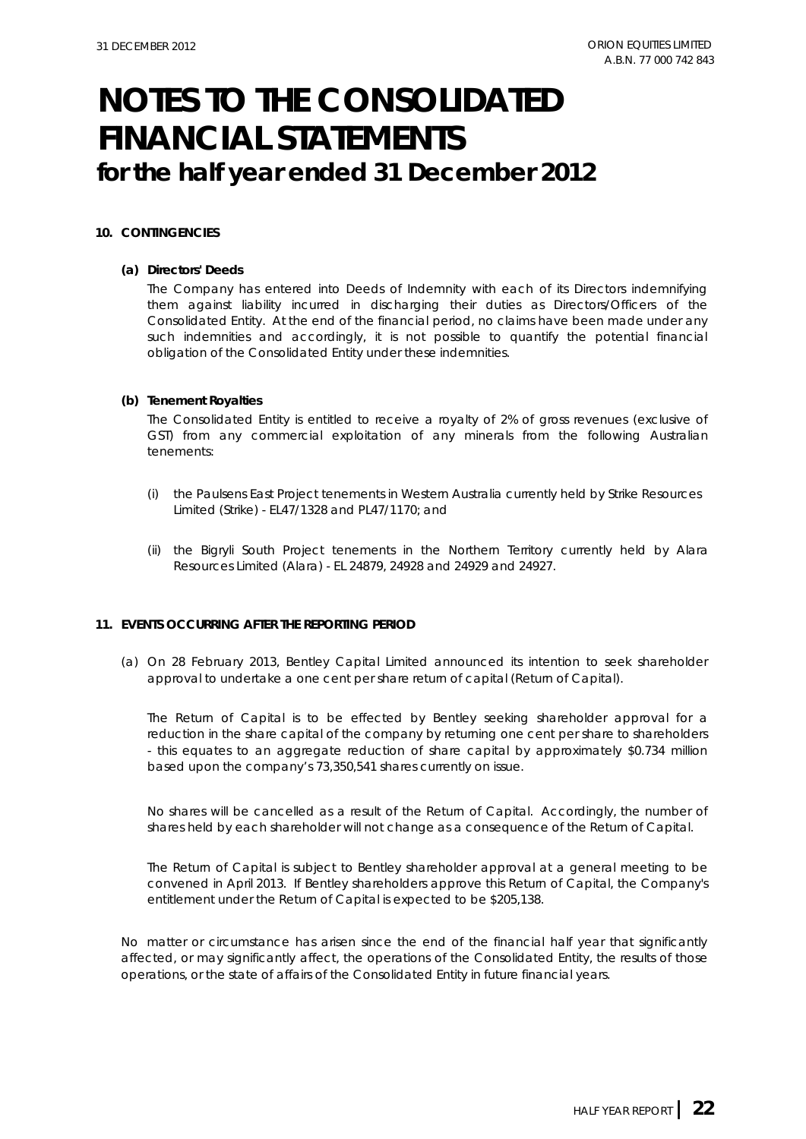### **10. CONTINGENCIES**

#### **(a) Directors' Deeds**

The Company has entered into Deeds of Indemnity with each of its Directors indemnifying them against liability incurred in discharging their duties as Directors/Officers of the Consolidated Entity. At the end of the financial period, no claims have been made under any such indemnities and accordingly, it is not possible to quantify the potential financial obligation of the Consolidated Entity under these indemnities.

#### **(b) Tenement Royalties**

The Consolidated Entity is entitled to receive a royalty of 2% of gross revenues (exclusive of GST) from any commercial exploitation of any minerals from the following Australian tenements:

- (i) the Paulsens East Project tenements in Western Australia currently held by Strike Resources Limited (Strike) - EL47/1328 and PL47/1170; and
- (ii) the Bigryli South Project tenements in the Northern Territory currently held by Alara Resources Limited (Alara) - EL 24879, 24928 and 24929 and 24927.

### **11. EVENTS OCCURRING AFTER THE REPORTING PERIOD**

(a) On 28 February 2013, Bentley Capital Limited announced its intention to seek shareholder approval to undertake a one cent per share return of capital (Return of Capital).

The Return of Capital is to be effected by Bentley seeking shareholder approval for a reduction in the share capital of the company by returning one cent per share to shareholders - this equates to an aggregate reduction of share capital by approximately \$0.734 million based upon the company's 73,350,541 shares currently on issue.

No shares will be cancelled as a result of the Return of Capital. Accordingly, the number of shares held by each shareholder will not change as a consequence of the Return of Capital.

The Return of Capital is subject to Bentley shareholder approval at a general meeting to be convened in April 2013. If Bentley shareholders approve this Return of Capital, the Company's entitlement under the Return of Capital is expected to be \$205,138.

No matter or circumstance has arisen since the end of the financial half year that significantly affected, or may significantly affect, the operations of the Consolidated Entity, the results of those operations, or the state of affairs of the Consolidated Entity in future financial years.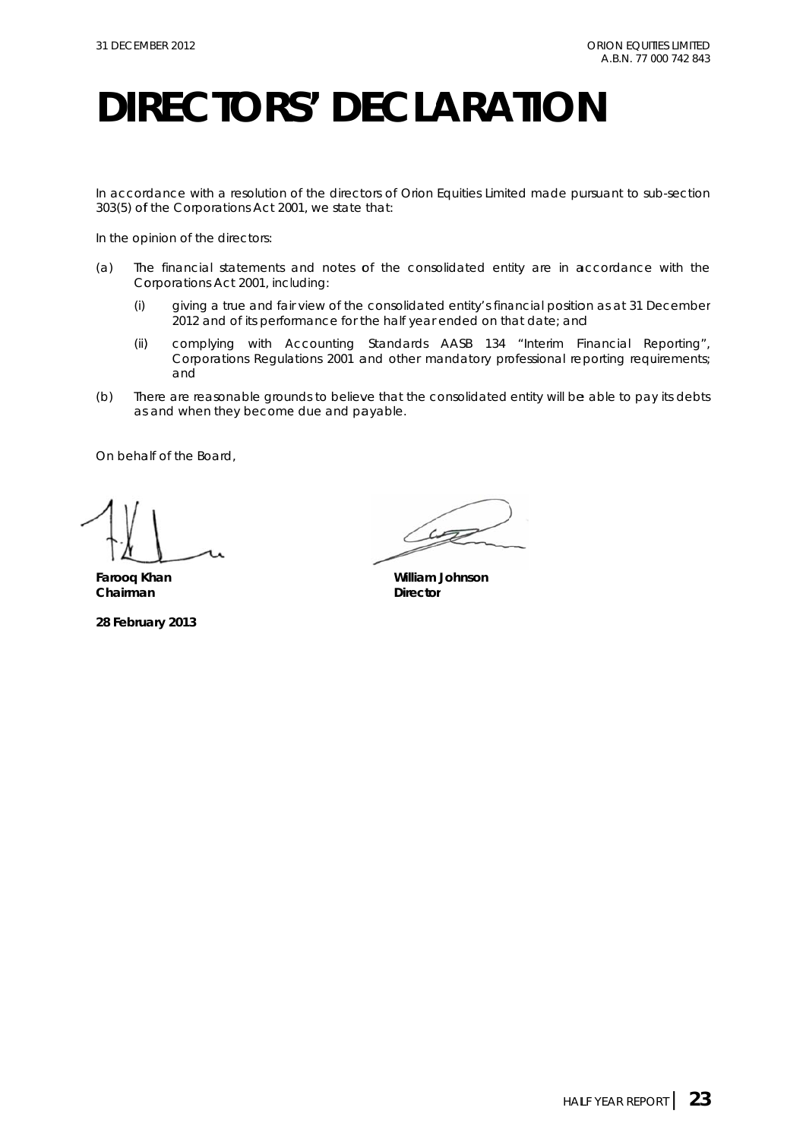# **DIRECTORS' DECLARATION**

In accordance with a resolution of the directors of Orion Equities Limited made pursuant to sub-section 303(5) of the *Corporations Act 2001*, we state that:

In the opinion of the directors:

- $(a)$ *Co orporations A Act 2001*, incl luding: he financial statements and notes of the consolidated entity are in accordance with the
	- (i) giving a true and fair view of the consolidated entity's financial position as at 31 December 2012 and of its performance for the half year ended on that date; and
	- (ii) ) complying with Accounting Standards AASB 134 "Interim Financial Reporting", Corporations Regulations 2001 and other mandatory professional reporting requirements; and
- $(b)$ as and when they become due and payable. here are reasonable grounds to believe that the consolidated entity will be able to pay its debts

On behalf of the Board,

**Farooq K Khan Chairma an** 

**28 Febru ary 2013** 

 $42$ 

**William Johnson** Director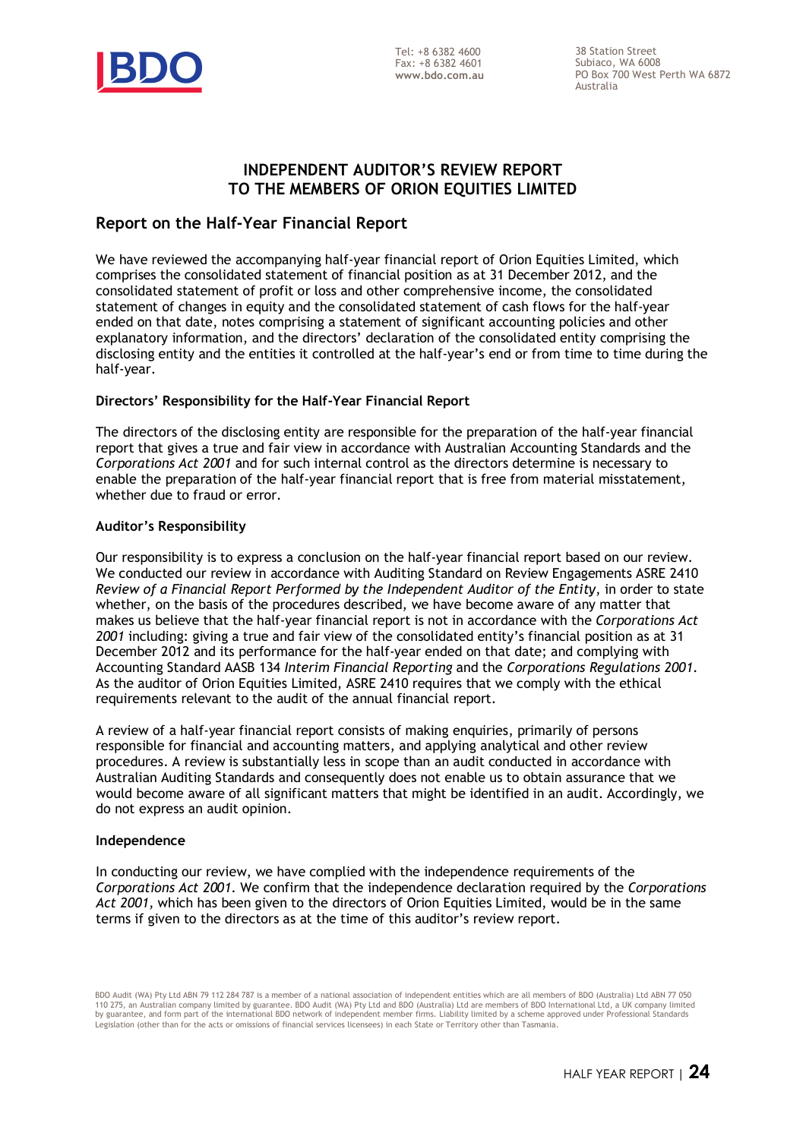

38 Station Street Subiaco, WA 6008 PO Box 700 West Perth WA 6872 Australia

### **INDEPENDENT AUDITOR'S REVIEW REPORT TO THE MEMBERS OF ORION EQUITIES LIMITED**

### **Report on the Half-Year Financial Report**

We have reviewed the accompanying half-year financial report of Orion Equities Limited, which comprises the consolidated statement of financial position as at 31 December 2012, and the consolidated statement of profit or loss and other comprehensive income, the consolidated statement of changes in equity and the consolidated statement of cash flows for the half-year ended on that date, notes comprising a statement of significant accounting policies and other explanatory information, and the directors' declaration of the consolidated entity comprising the disclosing entity and the entities it controlled at the half-year's end or from time to time during the half-year.

### **Directors' Responsibility for the Half-Year Financial Report**

The directors of the disclosing entity are responsible for the preparation of the half-year financial report that gives a true and fair view in accordance with Australian Accounting Standards and the *Corporations Act 2001* and for such internal control as the directors determine is necessary to enable the preparation of the half-year financial report that is free from material misstatement, whether due to fraud or error.

### **Auditor's Responsibility**

Our responsibility is to express a conclusion on the half-year financial report based on our review. We conducted our review in accordance with Auditing Standard on Review Engagements ASRE 2410 *Review of a Financial Report Performed by the Independent Auditor of the Entity*, in order to state whether, on the basis of the procedures described, we have become aware of any matter that makes us believe that the half-year financial report is not in accordance with the *Corporations Act 2001* including: giving a true and fair view of the consolidated entity's financial position as at 31 December 2012 and its performance for the half-year ended on that date; and complying with Accounting Standard AASB 134 *Interim Financial Reporting* and the *Corporations Regulations 2001*. As the auditor of Orion Equities Limited, ASRE 2410 requires that we comply with the ethical requirements relevant to the audit of the annual financial report.

A review of a half-year financial report consists of making enquiries, primarily of persons responsible for financial and accounting matters, and applying analytical and other review procedures. A review is substantially less in scope than an audit conducted in accordance with Australian Auditing Standards and consequently does not enable us to obtain assurance that we would become aware of all significant matters that might be identified in an audit. Accordingly, we do not express an audit opinion.

### **Independence**

In conducting our review, we have complied with the independence requirements of the *Corporations Act 2001*. We confirm that the independence declaration required by the *Corporations Act 2001,* which has been given to the directors of Orion Equities Limited, would be in the same terms if given to the directors as at the time of this auditor's review report.

BDO Audit (WA) Pty Ltd ABN 79 112 284 787 is a member of a national association of independent entities which are all members of BDO (Australia) Ltd ABN 77 050 110 275, an Australian company limited by guarantee. BDO Audit (WA) Pty Ltd and BDO (Australia) Ltd are members of BDO International Ltd, a UK company limited<br>by guarantee, and form part of the international BDO network of Legislation (other than for the acts or omissions of financial services licensees) in each State or Territory other than Tasmania.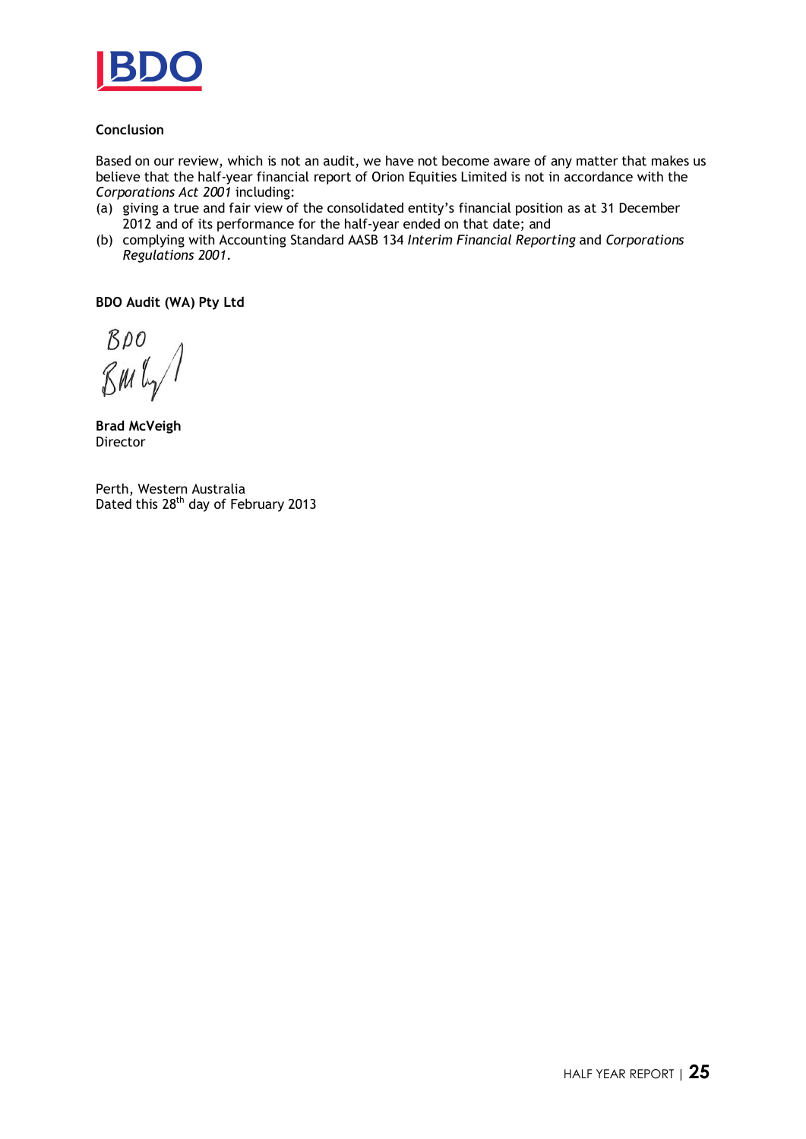

### **Conclusion**

Based on our review, which is not an audit, we have not become aware of any matter that makes us believe that the half-year financial report of Orion Equities Limited is not in accordance with the *Corporations Act 2001* including:

- (a) giving a true and fair view of the consolidated entity's financial position as at 31 December 2012 and of its performance for the half-year ended on that date; and
- (b) complying with Accounting Standard AASB 134 *Interim Financial Reporting* and *Corporations Regulations 2001*.

**BDO Audit (WA) Pty Ltd** 

BDO  $\mathcal{R}$ M $\mathcal{L}_{\gamma}$ 

**Brad McVeigh**  Director

Perth, Western Australia Dated this 28<sup>th</sup> day of February 2013